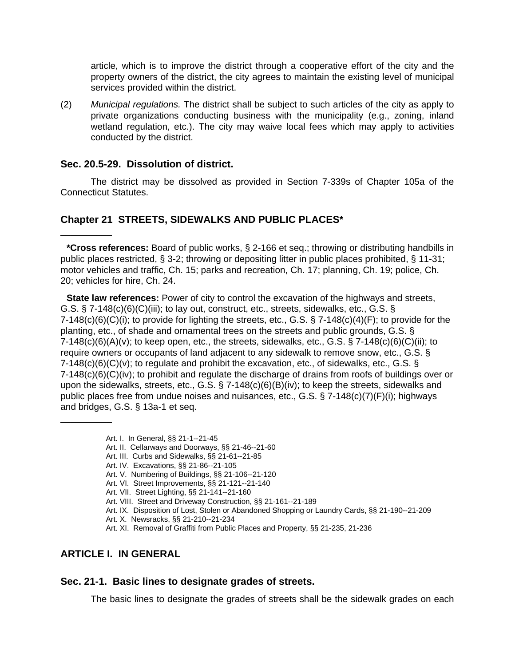article, which is to improve the district through a cooperative effort of the city and the property owners of the district, the city agrees to maintain the existing level of municipal services provided within the district.

(2) *Municipal regulations.* The district shall be subject to such articles of the city as apply to private organizations conducting business with the municipality (e.g., zoning, inland wetland regulation, etc.). The city may waive local fees which may apply to activities conducted by the district.

#### **Sec. 20.5-29. Dissolution of district.**

\_\_\_\_\_\_\_\_\_\_

\_\_\_\_\_\_\_\_\_\_

The district may be dissolved as provided in Section 7-339s of Chapter 105a of the Connecticut Statutes.

#### **Chapter 21 STREETS, SIDEWALKS AND PUBLIC PLACES\***

**\*Cross references:** Board of public works, § 2-166 et seq.; throwing or distributing handbills in public places restricted, § 3-2; throwing or depositing litter in public places prohibited, § 11-31; motor vehicles and traffic, Ch. 15; parks and recreation, Ch. 17; planning, Ch. 19; police, Ch. 20; vehicles for hire, Ch. 24.

**State law references:** Power of city to control the excavation of the highways and streets, G.S.  $\S$  7-148(c)(6)(C)(iii); to lay out, construct, etc., streets, sidewalks, etc., G.S.  $\S$  $7-148(c)(6)(C)(i)$ ; to provide for lighting the streets, etc., G.S. § 7-148(c)(4)(F); to provide for the planting, etc., of shade and ornamental trees on the streets and public grounds, G.S. §  $7-148(c)(6)(A)(v)$ ; to keep open, etc., the streets, sidewalks, etc., G.S. § 7-148(c)(6)(C)(ii); to require owners or occupants of land adjacent to any sidewalk to remove snow, etc., G.S. §  $7-148(c)(6)(C)(v)$ ; to regulate and prohibit the excavation, etc., of sidewalks, etc., G.S. § 7-148(c)(6)(C)(iv); to prohibit and regulate the discharge of drains from roofs of buildings over or upon the sidewalks, streets, etc., G.S. § 7-148(c)(6)(B)(iv); to keep the streets, sidewalks and public places free from undue noises and nuisances, etc., G.S. § 7-148(c)(7)(F)(i); highways and bridges, G.S. § 13a-1 et seq.

- Art. I. In General, §§ 21-1--21-45
- Art. II. Cellarways and Doorways, §§ 21-46--21-60
- Art. III. Curbs and Sidewalks, §§ 21-61--21-85
- Art. IV. Excavations, §§ 21-86--21-105
- Art. V. Numbering of Buildings, §§ 21-106--21-120
- Art. VI. Street Improvements, §§ 21-121--21-140
- Art. VII. Street Lighting, §§ 21-141--21-160
- Art. VIII. Street and Driveway Construction, §§ 21-161--21-189
- Art. IX. Disposition of Lost, Stolen or Abandoned Shopping or Laundry Cards, §§ 21-190--21-209
- Art. X. Newsracks, §§ 21-210--21-234
- Art. XI. Removal of Graffiti from Public Places and Property, §§ 21-235, 21-236

## **ARTICLE I. IN GENERAL**

#### **Sec. 21-1. Basic lines to designate grades of streets.**

The basic lines to designate the grades of streets shall be the sidewalk grades on each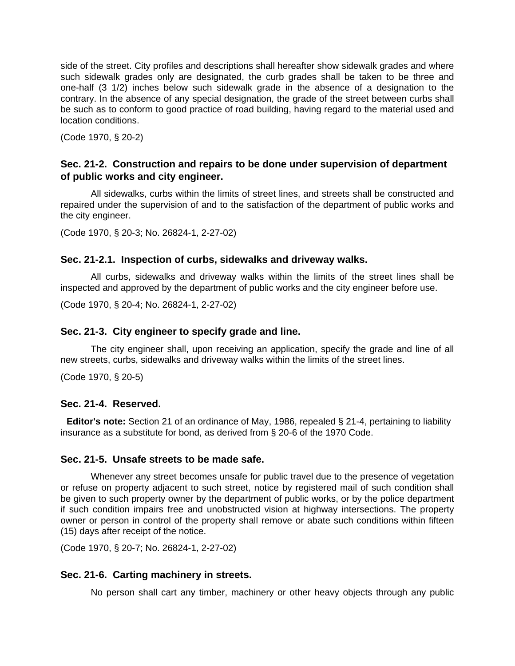side of the street. City profiles and descriptions shall hereafter show sidewalk grades and where such sidewalk grades only are designated, the curb grades shall be taken to be three and one-half (3 1/2) inches below such sidewalk grade in the absence of a designation to the contrary. In the absence of any special designation, the grade of the street between curbs shall be such as to conform to good practice of road building, having regard to the material used and location conditions.

(Code 1970, § 20-2)

### **Sec. 21-2. Construction and repairs to be done under supervision of department of public works and city engineer.**

All sidewalks, curbs within the limits of street lines, and streets shall be constructed and repaired under the supervision of and to the satisfaction of the department of public works and the city engineer.

(Code 1970, § 20-3; No. 26824-1, 2-27-02)

### **Sec. 21-2.1. Inspection of curbs, sidewalks and driveway walks.**

All curbs, sidewalks and driveway walks within the limits of the street lines shall be inspected and approved by the department of public works and the city engineer before use.

(Code 1970, § 20-4; No. 26824-1, 2-27-02)

#### **Sec. 21-3. City engineer to specify grade and line.**

The city engineer shall, upon receiving an application, specify the grade and line of all new streets, curbs, sidewalks and driveway walks within the limits of the street lines.

(Code 1970, § 20-5)

#### **Sec. 21-4. Reserved.**

**Editor's note:** Section 21 of an ordinance of May, 1986, repealed § 21-4, pertaining to liability insurance as a substitute for bond, as derived from § 20-6 of the 1970 Code.

### **Sec. 21-5. Unsafe streets to be made safe.**

Whenever any street becomes unsafe for public travel due to the presence of vegetation or refuse on property adjacent to such street, notice by registered mail of such condition shall be given to such property owner by the department of public works, or by the police department if such condition impairs free and unobstructed vision at highway intersections. The property owner or person in control of the property shall remove or abate such conditions within fifteen (15) days after receipt of the notice.

(Code 1970, § 20-7; No. 26824-1, 2-27-02)

### **Sec. 21-6. Carting machinery in streets.**

No person shall cart any timber, machinery or other heavy objects through any public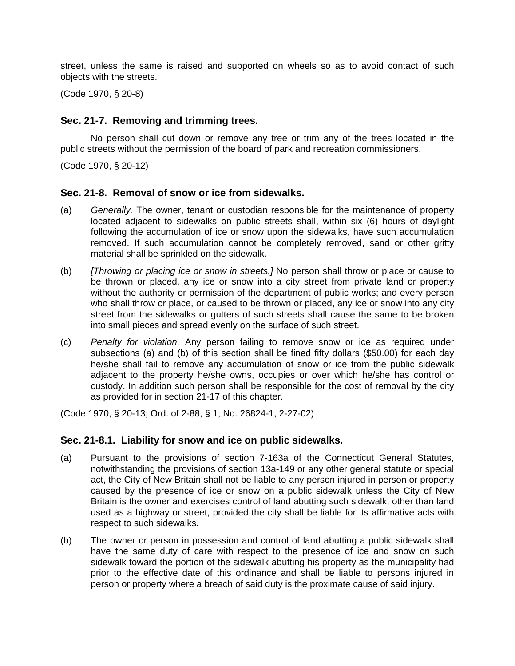street, unless the same is raised and supported on wheels so as to avoid contact of such objects with the streets.

(Code 1970, § 20-8)

#### **Sec. 21-7. Removing and trimming trees.**

No person shall cut down or remove any tree or trim any of the trees located in the public streets without the permission of the board of park and recreation commissioners.

(Code 1970, § 20-12)

#### **Sec. 21-8. Removal of snow or ice from sidewalks.**

- (a) *Generally.* The owner, tenant or custodian responsible for the maintenance of property located adjacent to sidewalks on public streets shall, within six (6) hours of daylight following the accumulation of ice or snow upon the sidewalks, have such accumulation removed. If such accumulation cannot be completely removed, sand or other gritty material shall be sprinkled on the sidewalk.
- (b) *[Throwing or placing ice or snow in streets.]* No person shall throw or place or cause to be thrown or placed, any ice or snow into a city street from private land or property without the authority or permission of the department of public works; and every person who shall throw or place, or caused to be thrown or placed, any ice or snow into any city street from the sidewalks or gutters of such streets shall cause the same to be broken into small pieces and spread evenly on the surface of such street.
- (c) *Penalty for violation.* Any person failing to remove snow or ice as required under subsections (a) and (b) of this section shall be fined fifty dollars (\$50.00) for each day he/she shall fail to remove any accumulation of snow or ice from the public sidewalk adjacent to the property he/she owns, occupies or over which he/she has control or custody. In addition such person shall be responsible for the cost of removal by the city as provided for in section 21-17 of this chapter.

(Code 1970, § 20-13; Ord. of 2-88, § 1; No. 26824-1, 2-27-02)

#### **Sec. 21-8.1. Liability for snow and ice on public sidewalks.**

- (a) Pursuant to the provisions of section 7-163a of the Connecticut General Statutes, notwithstanding the provisions of section 13a-149 or any other general statute or special act, the City of New Britain shall not be liable to any person injured in person or property caused by the presence of ice or snow on a public sidewalk unless the City of New Britain is the owner and exercises control of land abutting such sidewalk; other than land used as a highway or street, provided the city shall be liable for its affirmative acts with respect to such sidewalks.
- (b) The owner or person in possession and control of land abutting a public sidewalk shall have the same duty of care with respect to the presence of ice and snow on such sidewalk toward the portion of the sidewalk abutting his property as the municipality had prior to the effective date of this ordinance and shall be liable to persons injured in person or property where a breach of said duty is the proximate cause of said injury.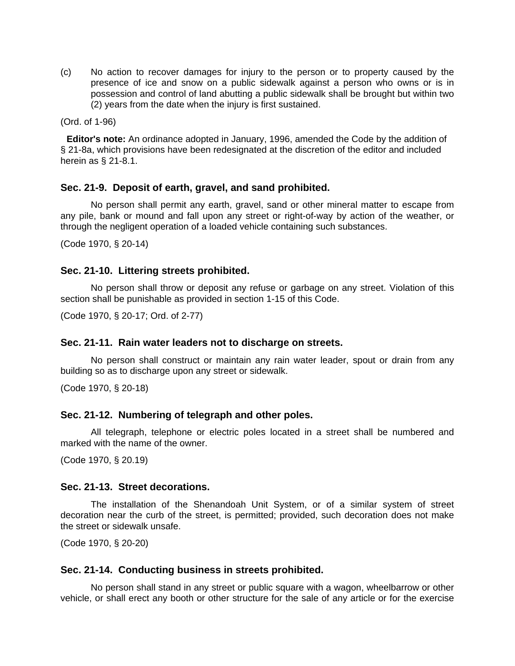(c) No action to recover damages for injury to the person or to property caused by the presence of ice and snow on a public sidewalk against a person who owns or is in possession and control of land abutting a public sidewalk shall be brought but within two (2) years from the date when the injury is first sustained.

(Ord. of 1-96)

**Editor's note:** An ordinance adopted in January, 1996, amended the Code by the addition of § 21-8a, which provisions have been redesignated at the discretion of the editor and included herein as § 21-8.1.

### **Sec. 21-9. Deposit of earth, gravel, and sand prohibited.**

No person shall permit any earth, gravel, sand or other mineral matter to escape from any pile, bank or mound and fall upon any street or right-of-way by action of the weather, or through the negligent operation of a loaded vehicle containing such substances.

(Code 1970, § 20-14)

#### **Sec. 21-10. Littering streets prohibited.**

No person shall throw or deposit any refuse or garbage on any street. Violation of this section shall be punishable as provided in section 1-15 of this Code.

(Code 1970, § 20-17; Ord. of 2-77)

#### **Sec. 21-11. Rain water leaders not to discharge on streets.**

No person shall construct or maintain any rain water leader, spout or drain from any building so as to discharge upon any street or sidewalk.

(Code 1970, § 20-18)

#### **Sec. 21-12. Numbering of telegraph and other poles.**

All telegraph, telephone or electric poles located in a street shall be numbered and marked with the name of the owner.

(Code 1970, § 20.19)

#### **Sec. 21-13. Street decorations.**

The installation of the Shenandoah Unit System, or of a similar system of street decoration near the curb of the street, is permitted; provided, such decoration does not make the street or sidewalk unsafe.

(Code 1970, § 20-20)

#### **Sec. 21-14. Conducting business in streets prohibited.**

No person shall stand in any street or public square with a wagon, wheelbarrow or other vehicle, or shall erect any booth or other structure for the sale of any article or for the exercise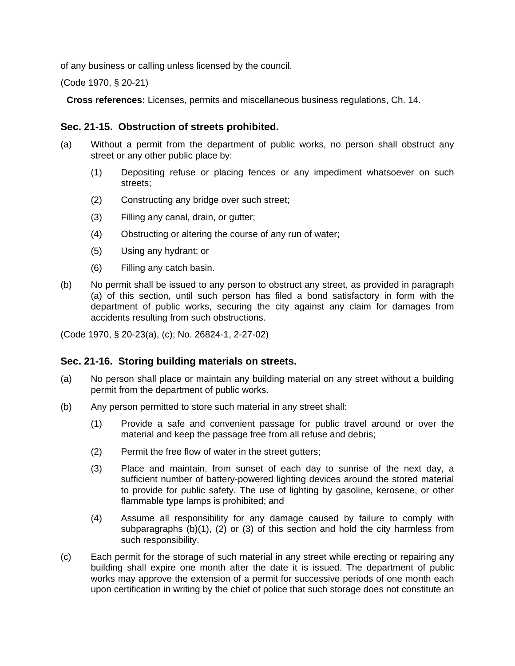of any business or calling unless licensed by the council.

(Code 1970, § 20-21)

**Cross references:** Licenses, permits and miscellaneous business regulations, Ch. 14.

### **Sec. 21-15. Obstruction of streets prohibited.**

- (a) Without a permit from the department of public works, no person shall obstruct any street or any other public place by:
	- (1) Depositing refuse or placing fences or any impediment whatsoever on such streets;
	- (2) Constructing any bridge over such street;
	- (3) Filling any canal, drain, or gutter;
	- (4) Obstructing or altering the course of any run of water;
	- (5) Using any hydrant; or
	- (6) Filling any catch basin.
- (b) No permit shall be issued to any person to obstruct any street, as provided in paragraph (a) of this section, until such person has filed a bond satisfactory in form with the department of public works, securing the city against any claim for damages from accidents resulting from such obstructions.

(Code 1970, § 20-23(a), (c); No. 26824-1, 2-27-02)

### **Sec. 21-16. Storing building materials on streets.**

- (a) No person shall place or maintain any building material on any street without a building permit from the department of public works.
- (b) Any person permitted to store such material in any street shall:
	- (1) Provide a safe and convenient passage for public travel around or over the material and keep the passage free from all refuse and debris;
	- (2) Permit the free flow of water in the street gutters;
	- (3) Place and maintain, from sunset of each day to sunrise of the next day, a sufficient number of battery-powered lighting devices around the stored material to provide for public safety. The use of lighting by gasoline, kerosene, or other flammable type lamps is prohibited; and
	- (4) Assume all responsibility for any damage caused by failure to comply with subparagraphs (b)(1), (2) or (3) of this section and hold the city harmless from such responsibility.
- (c) Each permit for the storage of such material in any street while erecting or repairing any building shall expire one month after the date it is issued. The department of public works may approve the extension of a permit for successive periods of one month each upon certification in writing by the chief of police that such storage does not constitute an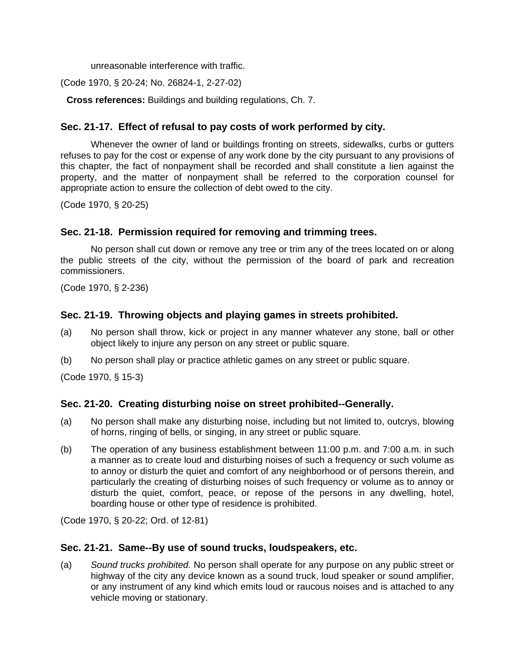unreasonable interference with traffic.

(Code 1970, § 20-24; No. 26824-1, 2-27-02)

**Cross references:** Buildings and building regulations, Ch. 7.

# **Sec. 21-17. Effect of refusal to pay costs of work performed by city.**

Whenever the owner of land or buildings fronting on streets, sidewalks, curbs or gutters refuses to pay for the cost or expense of any work done by the city pursuant to any provisions of this chapter, the fact of nonpayment shall be recorded and shall constitute a lien against the property, and the matter of nonpayment shall be referred to the corporation counsel for appropriate action to ensure the collection of debt owed to the city.

(Code 1970, § 20-25)

## **Sec. 21-18. Permission required for removing and trimming trees.**

No person shall cut down or remove any tree or trim any of the trees located on or along the public streets of the city, without the permission of the board of park and recreation commissioners.

(Code 1970, § 2-236)

## **Sec. 21-19. Throwing objects and playing games in streets prohibited.**

- (a) No person shall throw, kick or project in any manner whatever any stone, ball or other object likely to injure any person on any street or public square.
- (b) No person shall play or practice athletic games on any street or public square.

(Code 1970, § 15-3)

### **Sec. 21-20. Creating disturbing noise on street prohibited--Generally.**

- (a) No person shall make any disturbing noise, including but not limited to, outcrys, blowing of horns, ringing of bells, or singing, in any street or public square.
- (b) The operation of any business establishment between 11:00 p.m. and 7:00 a.m. in such a manner as to create loud and disturbing noises of such a frequency or such volume as to annoy or disturb the quiet and comfort of any neighborhood or of persons therein, and particularly the creating of disturbing noises of such frequency or volume as to annoy or disturb the quiet, comfort, peace, or repose of the persons in any dwelling, hotel, boarding house or other type of residence is prohibited.

(Code 1970, § 20-22; Ord. of 12-81)

### **Sec. 21-21. Same--By use of sound trucks, loudspeakers, etc.**

(a) *Sound trucks prohibited.* No person shall operate for any purpose on any public street or highway of the city any device known as a sound truck, loud speaker or sound amplifier, or any instrument of any kind which emits loud or raucous noises and is attached to any vehicle moving or stationary.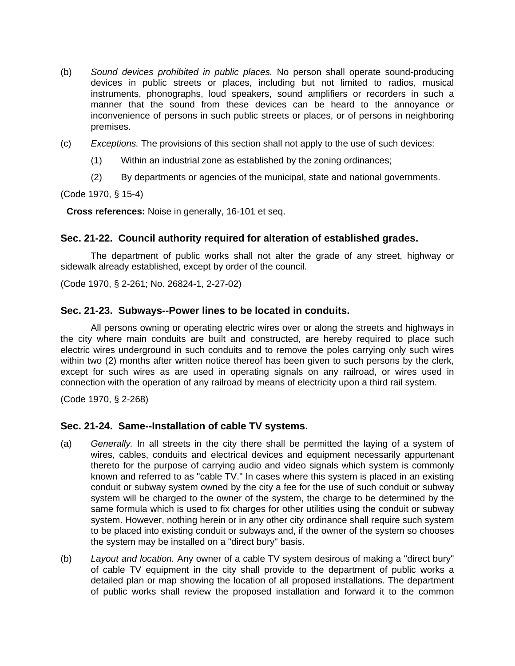- (b) *Sound devices prohibited in public places.* No person shall operate sound-producing devices in public streets or places, including but not limited to radios, musical instruments, phonographs, loud speakers, sound amplifiers or recorders in such a manner that the sound from these devices can be heard to the annoyance or inconvenience of persons in such public streets or places, or of persons in neighboring premises.
- (c) *Exceptions.* The provisions of this section shall not apply to the use of such devices:
	- (1) Within an industrial zone as established by the zoning ordinances;
	- (2) By departments or agencies of the municipal, state and national governments.

(Code 1970, § 15-4)

**Cross references:** Noise in generally, 16-101 et seq.

### **Sec. 21-22. Council authority required for alteration of established grades.**

The department of public works shall not alter the grade of any street, highway or sidewalk already established, except by order of the council.

(Code 1970, § 2-261; No. 26824-1, 2-27-02)

## **Sec. 21-23. Subways--Power lines to be located in conduits.**

All persons owning or operating electric wires over or along the streets and highways in the city where main conduits are built and constructed, are hereby required to place such electric wires underground in such conduits and to remove the poles carrying only such wires within two (2) months after written notice thereof has been given to such persons by the clerk, except for such wires as are used in operating signals on any railroad, or wires used in connection with the operation of any railroad by means of electricity upon a third rail system.

(Code 1970, § 2-268)

### **Sec. 21-24. Same--Installation of cable TV systems.**

- (a) *Generally.* In all streets in the city there shall be permitted the laying of a system of wires, cables, conduits and electrical devices and equipment necessarily appurtenant thereto for the purpose of carrying audio and video signals which system is commonly known and referred to as "cable TV." In cases where this system is placed in an existing conduit or subway system owned by the city a fee for the use of such conduit or subway system will be charged to the owner of the system, the charge to be determined by the same formula which is used to fix charges for other utilities using the conduit or subway system. However, nothing herein or in any other city ordinance shall require such system to be placed into existing conduit or subways and, if the owner of the system so chooses the system may be installed on a "direct bury" basis.
- (b) *Layout and location.* Any owner of a cable TV system desirous of making a "direct bury" of cable TV equipment in the city shall provide to the department of public works a detailed plan or map showing the location of all proposed installations. The department of public works shall review the proposed installation and forward it to the common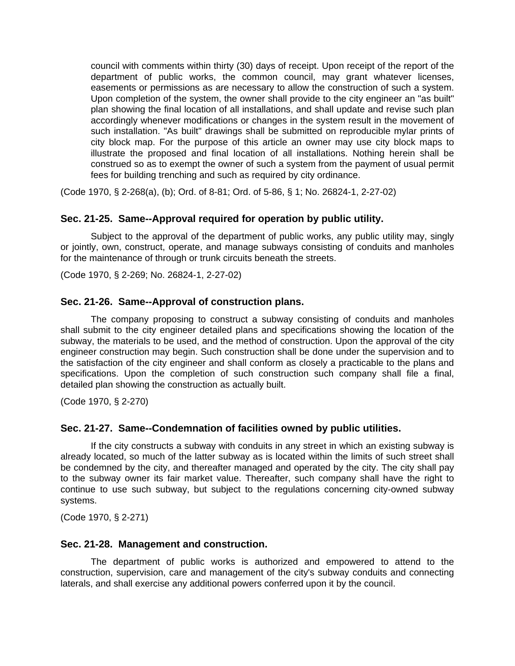council with comments within thirty (30) days of receipt. Upon receipt of the report of the department of public works, the common council, may grant whatever licenses, easements or permissions as are necessary to allow the construction of such a system. Upon completion of the system, the owner shall provide to the city engineer an "as built" plan showing the final location of all installations, and shall update and revise such plan accordingly whenever modifications or changes in the system result in the movement of such installation. "As built" drawings shall be submitted on reproducible mylar prints of city block map. For the purpose of this article an owner may use city block maps to illustrate the proposed and final location of all installations. Nothing herein shall be construed so as to exempt the owner of such a system from the payment of usual permit fees for building trenching and such as required by city ordinance.

(Code 1970, § 2-268(a), (b); Ord. of 8-81; Ord. of 5-86, § 1; No. 26824-1, 2-27-02)

## **Sec. 21-25. Same--Approval required for operation by public utility.**

Subject to the approval of the department of public works, any public utility may, singly or jointly, own, construct, operate, and manage subways consisting of conduits and manholes for the maintenance of through or trunk circuits beneath the streets.

(Code 1970, § 2-269; No. 26824-1, 2-27-02)

#### **Sec. 21-26. Same--Approval of construction plans.**

The company proposing to construct a subway consisting of conduits and manholes shall submit to the city engineer detailed plans and specifications showing the location of the subway, the materials to be used, and the method of construction. Upon the approval of the city engineer construction may begin. Such construction shall be done under the supervision and to the satisfaction of the city engineer and shall conform as closely a practicable to the plans and specifications. Upon the completion of such construction such company shall file a final, detailed plan showing the construction as actually built.

(Code 1970, § 2-270)

#### **Sec. 21-27. Same--Condemnation of facilities owned by public utilities.**

If the city constructs a subway with conduits in any street in which an existing subway is already located, so much of the latter subway as is located within the limits of such street shall be condemned by the city, and thereafter managed and operated by the city. The city shall pay to the subway owner its fair market value. Thereafter, such company shall have the right to continue to use such subway, but subject to the regulations concerning city-owned subway systems.

(Code 1970, § 2-271)

#### **Sec. 21-28. Management and construction.**

The department of public works is authorized and empowered to attend to the construction, supervision, care and management of the city's subway conduits and connecting laterals, and shall exercise any additional powers conferred upon it by the council.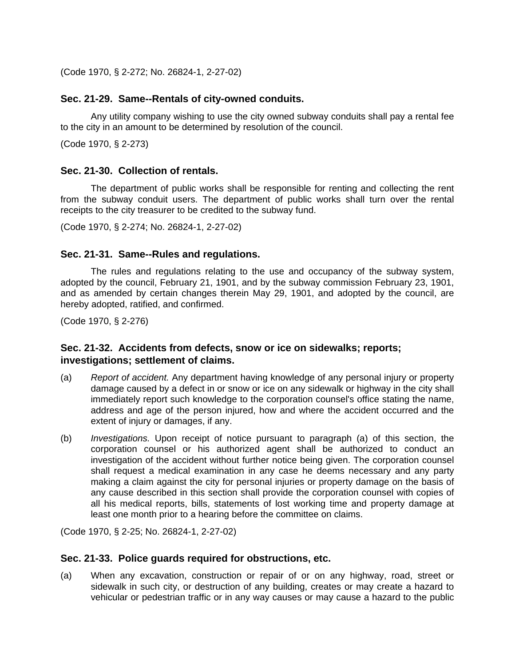(Code 1970, § 2-272; No. 26824-1, 2-27-02)

#### **Sec. 21-29. Same--Rentals of city-owned conduits.**

Any utility company wishing to use the city owned subway conduits shall pay a rental fee to the city in an amount to be determined by resolution of the council.

(Code 1970, § 2-273)

### **Sec. 21-30. Collection of rentals.**

The department of public works shall be responsible for renting and collecting the rent from the subway conduit users. The department of public works shall turn over the rental receipts to the city treasurer to be credited to the subway fund.

(Code 1970, § 2-274; No. 26824-1, 2-27-02)

#### **Sec. 21-31. Same--Rules and regulations.**

The rules and regulations relating to the use and occupancy of the subway system, adopted by the council, February 21, 1901, and by the subway commission February 23, 1901, and as amended by certain changes therein May 29, 1901, and adopted by the council, are hereby adopted, ratified, and confirmed.

(Code 1970, § 2-276)

## **Sec. 21-32. Accidents from defects, snow or ice on sidewalks; reports; investigations; settlement of claims.**

- (a) *Report of accident.* Any department having knowledge of any personal injury or property damage caused by a defect in or snow or ice on any sidewalk or highway in the city shall immediately report such knowledge to the corporation counsel's office stating the name, address and age of the person injured, how and where the accident occurred and the extent of injury or damages, if any.
- (b) *Investigations.* Upon receipt of notice pursuant to paragraph (a) of this section, the corporation counsel or his authorized agent shall be authorized to conduct an investigation of the accident without further notice being given. The corporation counsel shall request a medical examination in any case he deems necessary and any party making a claim against the city for personal injuries or property damage on the basis of any cause described in this section shall provide the corporation counsel with copies of all his medical reports, bills, statements of lost working time and property damage at least one month prior to a hearing before the committee on claims.

(Code 1970, § 2-25; No. 26824-1, 2-27-02)

#### **Sec. 21-33. Police guards required for obstructions, etc.**

(a) When any excavation, construction or repair of or on any highway, road, street or sidewalk in such city, or destruction of any building, creates or may create a hazard to vehicular or pedestrian traffic or in any way causes or may cause a hazard to the public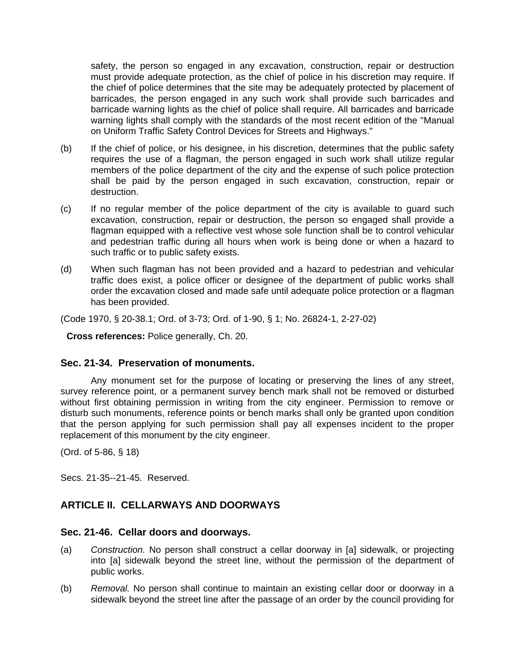safety, the person so engaged in any excavation, construction, repair or destruction must provide adequate protection, as the chief of police in his discretion may require. If the chief of police determines that the site may be adequately protected by placement of barricades, the person engaged in any such work shall provide such barricades and barricade warning lights as the chief of police shall require. All barricades and barricade warning lights shall comply with the standards of the most recent edition of the "Manual on Uniform Traffic Safety Control Devices for Streets and Highways."

- (b) If the chief of police, or his designee, in his discretion, determines that the public safety requires the use of a flagman, the person engaged in such work shall utilize regular members of the police department of the city and the expense of such police protection shall be paid by the person engaged in such excavation, construction, repair or destruction.
- (c) If no regular member of the police department of the city is available to guard such excavation, construction, repair or destruction, the person so engaged shall provide a flagman equipped with a reflective vest whose sole function shall be to control vehicular and pedestrian traffic during all hours when work is being done or when a hazard to such traffic or to public safety exists.
- (d) When such flagman has not been provided and a hazard to pedestrian and vehicular traffic does exist, a police officer or designee of the department of public works shall order the excavation closed and made safe until adequate police protection or a flagman has been provided.

(Code 1970, § 20-38.1; Ord. of 3-73; Ord. of 1-90, § 1; No. 26824-1, 2-27-02)

**Cross references:** Police generally, Ch. 20.

### **Sec. 21-34. Preservation of monuments.**

Any monument set for the purpose of locating or preserving the lines of any street, survey reference point, or a permanent survey bench mark shall not be removed or disturbed without first obtaining permission in writing from the city engineer. Permission to remove or disturb such monuments, reference points or bench marks shall only be granted upon condition that the person applying for such permission shall pay all expenses incident to the proper replacement of this monument by the city engineer.

(Ord. of 5-86, § 18)

Secs. 21-35--21-45. Reserved.

## **ARTICLE II. CELLARWAYS AND DOORWAYS**

### **Sec. 21-46. Cellar doors and doorways.**

- (a) *Construction.* No person shall construct a cellar doorway in [a] sidewalk, or projecting into [a] sidewalk beyond the street line, without the permission of the department of public works.
- (b) *Removal.* No person shall continue to maintain an existing cellar door or doorway in a sidewalk beyond the street line after the passage of an order by the council providing for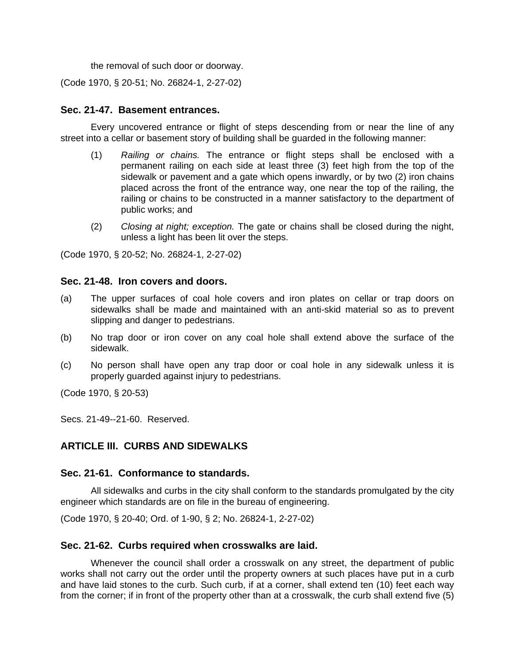the removal of such door or doorway.

(Code 1970, § 20-51; No. 26824-1, 2-27-02)

### **Sec. 21-47. Basement entrances.**

Every uncovered entrance or flight of steps descending from or near the line of any street into a cellar or basement story of building shall be guarded in the following manner:

- (1) *Railing or chains.* The entrance or flight steps shall be enclosed with a permanent railing on each side at least three (3) feet high from the top of the sidewalk or pavement and a gate which opens inwardly, or by two (2) iron chains placed across the front of the entrance way, one near the top of the railing, the railing or chains to be constructed in a manner satisfactory to the department of public works; and
- (2) *Closing at night; exception.* The gate or chains shall be closed during the night, unless a light has been lit over the steps.

(Code 1970, § 20-52; No. 26824-1, 2-27-02)

#### **Sec. 21-48. Iron covers and doors.**

- (a) The upper surfaces of coal hole covers and iron plates on cellar or trap doors on sidewalks shall be made and maintained with an anti-skid material so as to prevent slipping and danger to pedestrians.
- (b) No trap door or iron cover on any coal hole shall extend above the surface of the sidewalk.
- (c) No person shall have open any trap door or coal hole in any sidewalk unless it is properly guarded against injury to pedestrians.

(Code 1970, § 20-53)

Secs. 21-49--21-60. Reserved.

## **ARTICLE III. CURBS AND SIDEWALKS**

### **Sec. 21-61. Conformance to standards.**

All sidewalks and curbs in the city shall conform to the standards promulgated by the city engineer which standards are on file in the bureau of engineering.

(Code 1970, § 20-40; Ord. of 1-90, § 2; No. 26824-1, 2-27-02)

### **Sec. 21-62. Curbs required when crosswalks are laid.**

Whenever the council shall order a crosswalk on any street, the department of public works shall not carry out the order until the property owners at such places have put in a curb and have laid stones to the curb. Such curb, if at a corner, shall extend ten (10) feet each way from the corner; if in front of the property other than at a crosswalk, the curb shall extend five (5)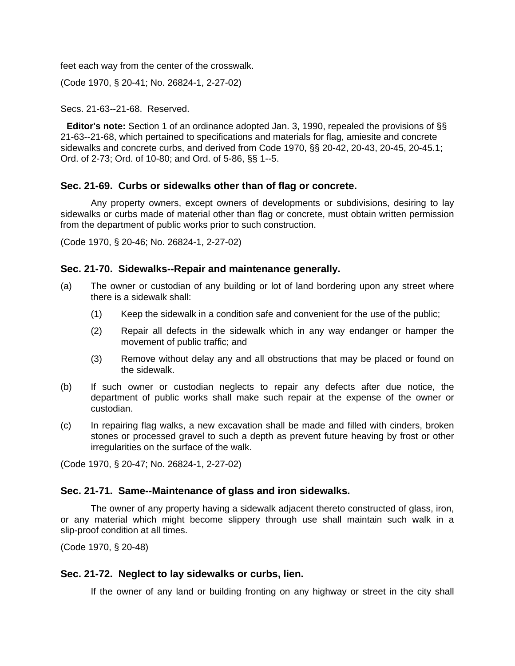feet each way from the center of the crosswalk.

(Code 1970, § 20-41; No. 26824-1, 2-27-02)

#### Secs. 21-63--21-68. Reserved.

**Editor's note:** Section 1 of an ordinance adopted Jan. 3, 1990, repealed the provisions of §§ 21-63--21-68, which pertained to specifications and materials for flag, amiesite and concrete sidewalks and concrete curbs, and derived from Code 1970, §§ 20-42, 20-43, 20-45, 20-45.1; Ord. of 2-73; Ord. of 10-80; and Ord. of 5-86, §§ 1--5.

## **Sec. 21-69. Curbs or sidewalks other than of flag or concrete.**

Any property owners, except owners of developments or subdivisions, desiring to lay sidewalks or curbs made of material other than flag or concrete, must obtain written permission from the department of public works prior to such construction.

(Code 1970, § 20-46; No. 26824-1, 2-27-02)

### **Sec. 21-70. Sidewalks--Repair and maintenance generally.**

- (a) The owner or custodian of any building or lot of land bordering upon any street where there is a sidewalk shall:
	- (1) Keep the sidewalk in a condition safe and convenient for the use of the public;
	- (2) Repair all defects in the sidewalk which in any way endanger or hamper the movement of public traffic; and
	- (3) Remove without delay any and all obstructions that may be placed or found on the sidewalk.
- (b) If such owner or custodian neglects to repair any defects after due notice, the department of public works shall make such repair at the expense of the owner or custodian.
- (c) In repairing flag walks, a new excavation shall be made and filled with cinders, broken stones or processed gravel to such a depth as prevent future heaving by frost or other irregularities on the surface of the walk.

(Code 1970, § 20-47; No. 26824-1, 2-27-02)

### **Sec. 21-71. Same--Maintenance of glass and iron sidewalks.**

The owner of any property having a sidewalk adjacent thereto constructed of glass, iron, or any material which might become slippery through use shall maintain such walk in a slip-proof condition at all times.

(Code 1970, § 20-48)

### **Sec. 21-72. Neglect to lay sidewalks or curbs, lien.**

If the owner of any land or building fronting on any highway or street in the city shall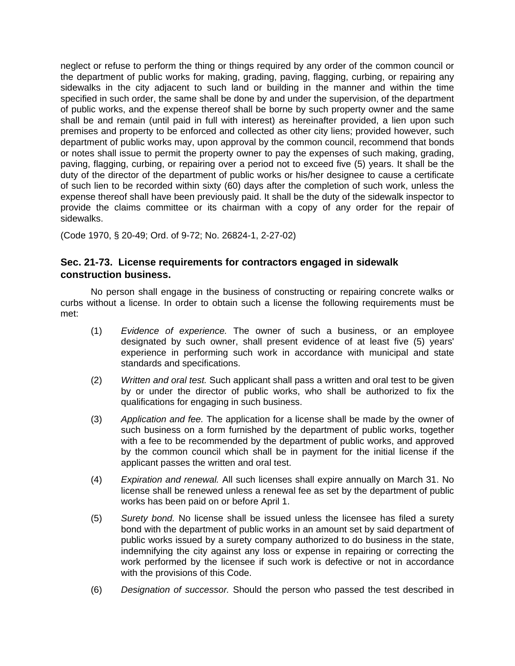neglect or refuse to perform the thing or things required by any order of the common council or the department of public works for making, grading, paving, flagging, curbing, or repairing any sidewalks in the city adjacent to such land or building in the manner and within the time specified in such order, the same shall be done by and under the supervision, of the department of public works, and the expense thereof shall be borne by such property owner and the same shall be and remain (until paid in full with interest) as hereinafter provided, a lien upon such premises and property to be enforced and collected as other city liens; provided however, such department of public works may, upon approval by the common council, recommend that bonds or notes shall issue to permit the property owner to pay the expenses of such making, grading, paving, flagging, curbing, or repairing over a period not to exceed five (5) years. It shall be the duty of the director of the department of public works or his/her designee to cause a certificate of such lien to be recorded within sixty (60) days after the completion of such work, unless the expense thereof shall have been previously paid. It shall be the duty of the sidewalk inspector to provide the claims committee or its chairman with a copy of any order for the repair of sidewalks.

(Code 1970, § 20-49; Ord. of 9-72; No. 26824-1, 2-27-02)

## **Sec. 21-73. License requirements for contractors engaged in sidewalk construction business.**

No person shall engage in the business of constructing or repairing concrete walks or curbs without a license. In order to obtain such a license the following requirements must be met:

- (1) *Evidence of experience.* The owner of such a business, or an employee designated by such owner, shall present evidence of at least five (5) years' experience in performing such work in accordance with municipal and state standards and specifications.
- (2) *Written and oral test.* Such applicant shall pass a written and oral test to be given by or under the director of public works, who shall be authorized to fix the qualifications for engaging in such business.
- (3) *Application and fee.* The application for a license shall be made by the owner of such business on a form furnished by the department of public works, together with a fee to be recommended by the department of public works, and approved by the common council which shall be in payment for the initial license if the applicant passes the written and oral test.
- (4) *Expiration and renewal.* All such licenses shall expire annually on March 31. No license shall be renewed unless a renewal fee as set by the department of public works has been paid on or before April 1.
- (5) *Surety bond.* No license shall be issued unless the licensee has filed a surety bond with the department of public works in an amount set by said department of public works issued by a surety company authorized to do business in the state, indemnifying the city against any loss or expense in repairing or correcting the work performed by the licensee if such work is defective or not in accordance with the provisions of this Code.
- (6) *Designation of successor.* Should the person who passed the test described in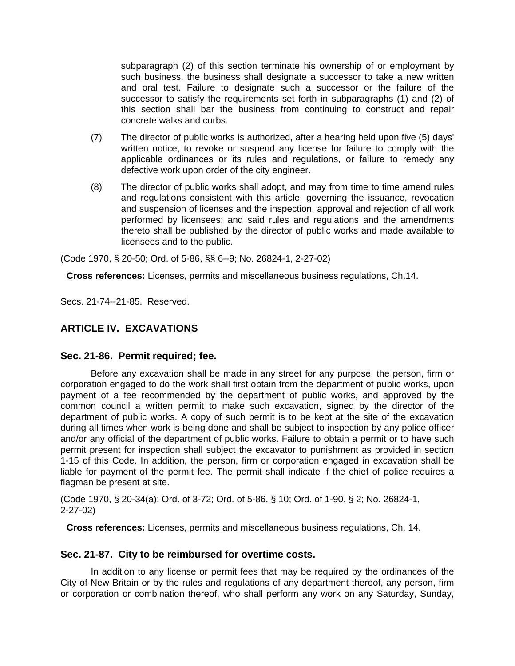subparagraph (2) of this section terminate his ownership of or employment by such business, the business shall designate a successor to take a new written and oral test. Failure to designate such a successor or the failure of the successor to satisfy the requirements set forth in subparagraphs (1) and (2) of this section shall bar the business from continuing to construct and repair concrete walks and curbs.

- (7) The director of public works is authorized, after a hearing held upon five (5) days' written notice, to revoke or suspend any license for failure to comply with the applicable ordinances or its rules and regulations, or failure to remedy any defective work upon order of the city engineer.
- (8) The director of public works shall adopt, and may from time to time amend rules and regulations consistent with this article, governing the issuance, revocation and suspension of licenses and the inspection, approval and rejection of all work performed by licensees; and said rules and regulations and the amendments thereto shall be published by the director of public works and made available to licensees and to the public.

(Code 1970, § 20-50; Ord. of 5-86, §§ 6--9; No. 26824-1, 2-27-02)

**Cross references:** Licenses, permits and miscellaneous business regulations, Ch.14.

Secs. 21-74--21-85. Reserved.

## **ARTICLE IV. EXCAVATIONS**

### **Sec. 21-86. Permit required; fee.**

Before any excavation shall be made in any street for any purpose, the person, firm or corporation engaged to do the work shall first obtain from the department of public works, upon payment of a fee recommended by the department of public works, and approved by the common council a written permit to make such excavation, signed by the director of the department of public works. A copy of such permit is to be kept at the site of the excavation during all times when work is being done and shall be subject to inspection by any police officer and/or any official of the department of public works. Failure to obtain a permit or to have such permit present for inspection shall subject the excavator to punishment as provided in section 1-15 of this Code. In addition, the person, firm or corporation engaged in excavation shall be liable for payment of the permit fee. The permit shall indicate if the chief of police requires a flagman be present at site.

(Code 1970, § 20-34(a); Ord. of 3-72; Ord. of 5-86, § 10; Ord. of 1-90, § 2; No. 26824-1, 2-27-02)

**Cross references:** Licenses, permits and miscellaneous business regulations, Ch. 14.

### **Sec. 21-87. City to be reimbursed for overtime costs.**

In addition to any license or permit fees that may be required by the ordinances of the City of New Britain or by the rules and regulations of any department thereof, any person, firm or corporation or combination thereof, who shall perform any work on any Saturday, Sunday,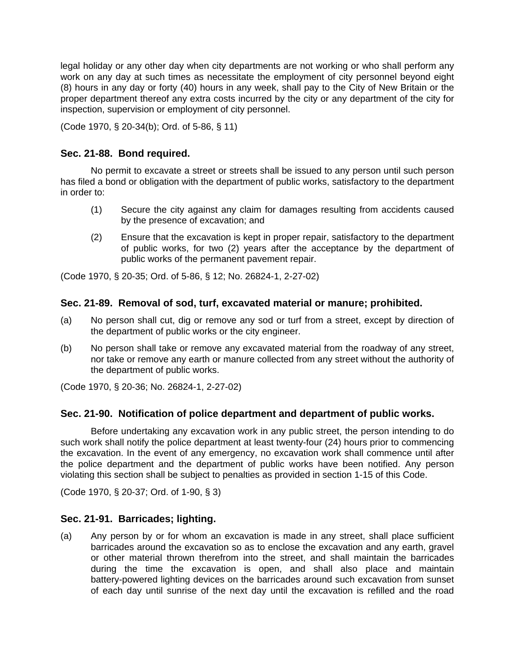legal holiday or any other day when city departments are not working or who shall perform any work on any day at such times as necessitate the employment of city personnel beyond eight (8) hours in any day or forty (40) hours in any week, shall pay to the City of New Britain or the proper department thereof any extra costs incurred by the city or any department of the city for inspection, supervision or employment of city personnel.

(Code 1970, § 20-34(b); Ord. of 5-86, § 11)

## **Sec. 21-88. Bond required.**

No permit to excavate a street or streets shall be issued to any person until such person has filed a bond or obligation with the department of public works, satisfactory to the department in order to:

- (1) Secure the city against any claim for damages resulting from accidents caused by the presence of excavation; and
- (2) Ensure that the excavation is kept in proper repair, satisfactory to the department of public works, for two (2) years after the acceptance by the department of public works of the permanent pavement repair.

(Code 1970, § 20-35; Ord. of 5-86, § 12; No. 26824-1, 2-27-02)

## **Sec. 21-89. Removal of sod, turf, excavated material or manure; prohibited.**

- (a) No person shall cut, dig or remove any sod or turf from a street, except by direction of the department of public works or the city engineer.
- (b) No person shall take or remove any excavated material from the roadway of any street, nor take or remove any earth or manure collected from any street without the authority of the department of public works.

(Code 1970, § 20-36; No. 26824-1, 2-27-02)

### **Sec. 21-90. Notification of police department and department of public works.**

Before undertaking any excavation work in any public street, the person intending to do such work shall notify the police department at least twenty-four (24) hours prior to commencing the excavation. In the event of any emergency, no excavation work shall commence until after the police department and the department of public works have been notified. Any person violating this section shall be subject to penalties as provided in section 1-15 of this Code.

(Code 1970, § 20-37; Ord. of 1-90, § 3)

## **Sec. 21-91. Barricades; lighting.**

(a) Any person by or for whom an excavation is made in any street, shall place sufficient barricades around the excavation so as to enclose the excavation and any earth, gravel or other material thrown therefrom into the street, and shall maintain the barricades during the time the excavation is open, and shall also place and maintain battery-powered lighting devices on the barricades around such excavation from sunset of each day until sunrise of the next day until the excavation is refilled and the road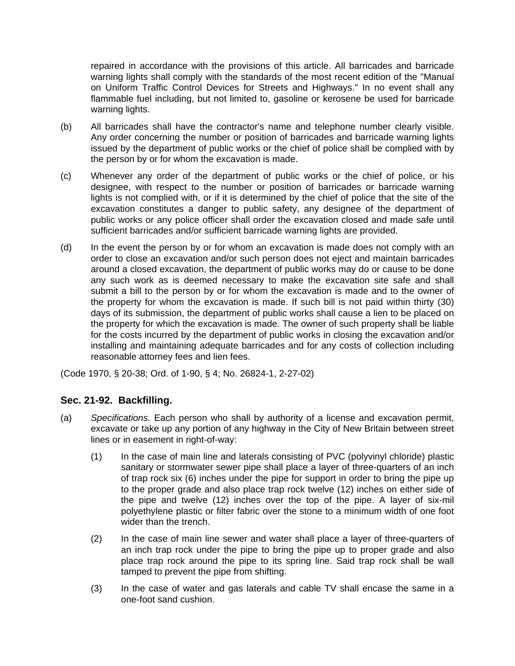repaired in accordance with the provisions of this article. All barricades and barricade warning lights shall comply with the standards of the most recent edition of the "Manual on Uniform Traffic Control Devices for Streets and Highways." In no event shall any flammable fuel including, but not limited to, gasoline or kerosene be used for barricade warning lights.

- (b) All barricades shall have the contractor's name and telephone number clearly visible. Any order concerning the number or position of barricades and barricade warning lights issued by the department of public works or the chief of police shall be complied with by the person by or for whom the excavation is made.
- (c) Whenever any order of the department of public works or the chief of police, or his designee, with respect to the number or position of barricades or barricade warning lights is not complied with, or if it is determined by the chief of police that the site of the excavation constitutes a danger to public safety, any designee of the department of public works or any police officer shall order the excavation closed and made safe until sufficient barricades and/or sufficient barricade warning lights are provided.
- (d) In the event the person by or for whom an excavation is made does not comply with an order to close an excavation and/or such person does not eject and maintain barricades around a closed excavation, the department of public works may do or cause to be done any such work as is deemed necessary to make the excavation site safe and shall submit a bill to the person by or for whom the excavation is made and to the owner of the property for whom the excavation is made. If such bill is not paid within thirty (30) days of its submission, the department of public works shall cause a lien to be placed on the property for which the excavation is made. The owner of such property shall be liable for the costs incurred by the department of public works in closing the excavation and/or installing and maintaining adequate barricades and for any costs of collection including reasonable attorney fees and lien fees.

(Code 1970, § 20-38; Ord. of 1-90, § 4; No. 26824-1, 2-27-02)

## **Sec. 21-92. Backfilling.**

- (a) *Specifications.* Each person who shall by authority of a license and excavation permit, excavate or take up any portion of any highway in the City of New Britain between street lines or in easement in right-of-way:
	- (1) In the case of main line and laterals consisting of PVC (polyvinyl chloride) plastic sanitary or stormwater sewer pipe shall place a layer of three-quarters of an inch of trap rock six (6) inches under the pipe for support in order to bring the pipe up to the proper grade and also place trap rock twelve (12) inches on either side of the pipe and twelve (12) inches over the top of the pipe. A layer of six-mil polyethylene plastic or filter fabric over the stone to a minimum width of one foot wider than the trench.
	- (2) In the case of main line sewer and water shall place a layer of three-quarters of an inch trap rock under the pipe to bring the pipe up to proper grade and also place trap rock around the pipe to its spring line. Said trap rock shall be wall tamped to prevent the pipe from shifting.
	- (3) In the case of water and gas laterals and cable TV shall encase the same in a one-foot sand cushion.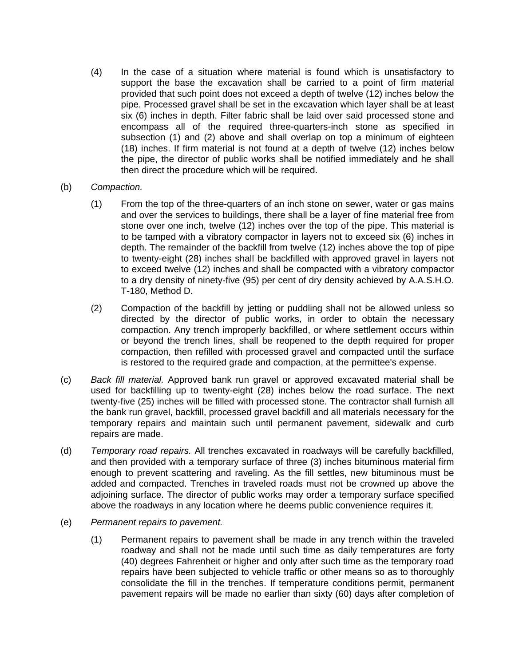- (4) In the case of a situation where material is found which is unsatisfactory to support the base the excavation shall be carried to a point of firm material provided that such point does not exceed a depth of twelve (12) inches below the pipe. Processed gravel shall be set in the excavation which layer shall be at least six (6) inches in depth. Filter fabric shall be laid over said processed stone and encompass all of the required three-quarters-inch stone as specified in subsection (1) and (2) above and shall overlap on top a minimum of eighteen (18) inches. If firm material is not found at a depth of twelve (12) inches below the pipe, the director of public works shall be notified immediately and he shall then direct the procedure which will be required.
- (b) *Compaction.*
	- (1) From the top of the three-quarters of an inch stone on sewer, water or gas mains and over the services to buildings, there shall be a layer of fine material free from stone over one inch, twelve (12) inches over the top of the pipe. This material is to be tamped with a vibratory compactor in layers not to exceed six (6) inches in depth. The remainder of the backfill from twelve (12) inches above the top of pipe to twenty-eight (28) inches shall be backfilled with approved gravel in layers not to exceed twelve (12) inches and shall be compacted with a vibratory compactor to a dry density of ninety-five (95) per cent of dry density achieved by A.A.S.H.O. T-180, Method D.
	- (2) Compaction of the backfill by jetting or puddling shall not be allowed unless so directed by the director of public works, in order to obtain the necessary compaction. Any trench improperly backfilled, or where settlement occurs within or beyond the trench lines, shall be reopened to the depth required for proper compaction, then refilled with processed gravel and compacted until the surface is restored to the required grade and compaction, at the permittee's expense.
- (c) *Back fill material.* Approved bank run gravel or approved excavated material shall be used for backfilling up to twenty-eight (28) inches below the road surface. The next twenty-five (25) inches will be filled with processed stone. The contractor shall furnish all the bank run gravel, backfill, processed gravel backfill and all materials necessary for the temporary repairs and maintain such until permanent pavement, sidewalk and curb repairs are made.
- (d) *Temporary road repairs.* All trenches excavated in roadways will be carefully backfilled, and then provided with a temporary surface of three (3) inches bituminous material firm enough to prevent scattering and raveling. As the fill settles, new bituminous must be added and compacted. Trenches in traveled roads must not be crowned up above the adjoining surface. The director of public works may order a temporary surface specified above the roadways in any location where he deems public convenience requires it.
- (e) *Permanent repairs to pavement.*
	- (1) Permanent repairs to pavement shall be made in any trench within the traveled roadway and shall not be made until such time as daily temperatures are forty (40) degrees Fahrenheit or higher and only after such time as the temporary road repairs have been subjected to vehicle traffic or other means so as to thoroughly consolidate the fill in the trenches. If temperature conditions permit, permanent pavement repairs will be made no earlier than sixty (60) days after completion of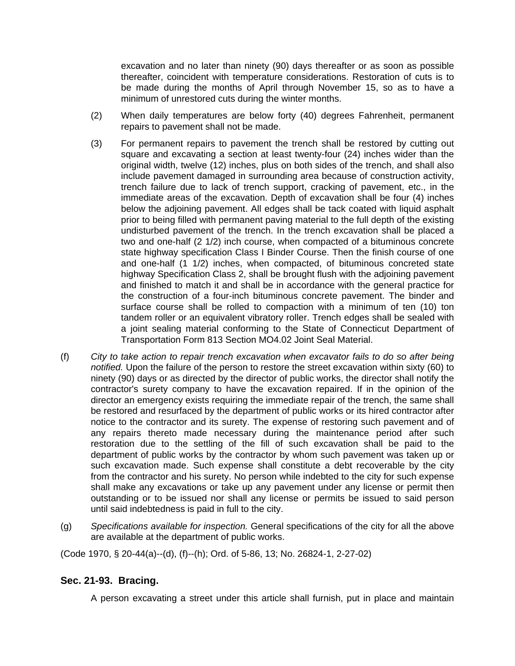excavation and no later than ninety (90) days thereafter or as soon as possible thereafter, coincident with temperature considerations. Restoration of cuts is to be made during the months of April through November 15, so as to have a minimum of unrestored cuts during the winter months.

- (2) When daily temperatures are below forty (40) degrees Fahrenheit, permanent repairs to pavement shall not be made.
- (3) For permanent repairs to pavement the trench shall be restored by cutting out square and excavating a section at least twenty-four (24) inches wider than the original width, twelve (12) inches, plus on both sides of the trench, and shall also include pavement damaged in surrounding area because of construction activity, trench failure due to lack of trench support, cracking of pavement, etc., in the immediate areas of the excavation. Depth of excavation shall be four (4) inches below the adjoining pavement. All edges shall be tack coated with liquid asphalt prior to being filled with permanent paving material to the full depth of the existing undisturbed pavement of the trench. In the trench excavation shall be placed a two and one-half (2 1/2) inch course, when compacted of a bituminous concrete state highway specification Class I Binder Course. Then the finish course of one and one-half (1 1/2) inches, when compacted, of bituminous concreted state highway Specification Class 2, shall be brought flush with the adjoining pavement and finished to match it and shall be in accordance with the general practice for the construction of a four-inch bituminous concrete pavement. The binder and surface course shall be rolled to compaction with a minimum of ten (10) ton tandem roller or an equivalent vibratory roller. Trench edges shall be sealed with a joint sealing material conforming to the State of Connecticut Department of Transportation Form 813 Section MO4.02 Joint Seal Material.
- (f) *City to take action to repair trench excavation when excavator fails to do so after being notified.* Upon the failure of the person to restore the street excavation within sixty (60) to ninety (90) days or as directed by the director of public works, the director shall notify the contractor's surety company to have the excavation repaired. If in the opinion of the director an emergency exists requiring the immediate repair of the trench, the same shall be restored and resurfaced by the department of public works or its hired contractor after notice to the contractor and its surety. The expense of restoring such pavement and of any repairs thereto made necessary during the maintenance period after such restoration due to the settling of the fill of such excavation shall be paid to the department of public works by the contractor by whom such pavement was taken up or such excavation made. Such expense shall constitute a debt recoverable by the city from the contractor and his surety. No person while indebted to the city for such expense shall make any excavations or take up any pavement under any license or permit then outstanding or to be issued nor shall any license or permits be issued to said person until said indebtedness is paid in full to the city.
- (g) *Specifications available for inspection.* General specifications of the city for all the above are available at the department of public works.

(Code 1970, § 20-44(a)--(d), (f)--(h); Ord. of 5-86, 13; No. 26824-1, 2-27-02)

## **Sec. 21-93. Bracing.**

A person excavating a street under this article shall furnish, put in place and maintain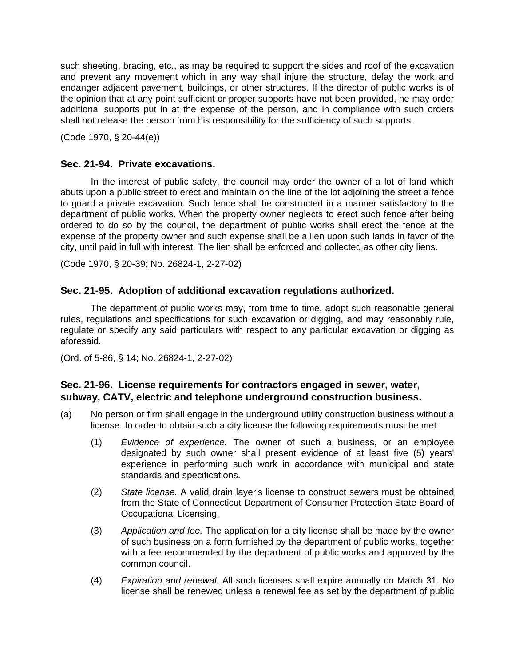such sheeting, bracing, etc., as may be required to support the sides and roof of the excavation and prevent any movement which in any way shall injure the structure, delay the work and endanger adjacent pavement, buildings, or other structures. If the director of public works is of the opinion that at any point sufficient or proper supports have not been provided, he may order additional supports put in at the expense of the person, and in compliance with such orders shall not release the person from his responsibility for the sufficiency of such supports.

(Code 1970, § 20-44(e))

## **Sec. 21-94. Private excavations.**

In the interest of public safety, the council may order the owner of a lot of land which abuts upon a public street to erect and maintain on the line of the lot adjoining the street a fence to guard a private excavation. Such fence shall be constructed in a manner satisfactory to the department of public works. When the property owner neglects to erect such fence after being ordered to do so by the council, the department of public works shall erect the fence at the expense of the property owner and such expense shall be a lien upon such lands in favor of the city, until paid in full with interest. The lien shall be enforced and collected as other city liens.

(Code 1970, § 20-39; No. 26824-1, 2-27-02)

## **Sec. 21-95. Adoption of additional excavation regulations authorized.**

The department of public works may, from time to time, adopt such reasonable general rules, regulations and specifications for such excavation or digging, and may reasonably rule, regulate or specify any said particulars with respect to any particular excavation or digging as aforesaid.

(Ord. of 5-86, § 14; No. 26824-1, 2-27-02)

## **Sec. 21-96. License requirements for contractors engaged in sewer, water, subway, CATV, electric and telephone underground construction business.**

- (a) No person or firm shall engage in the underground utility construction business without a license. In order to obtain such a city license the following requirements must be met:
	- (1) *Evidence of experience.* The owner of such a business, or an employee designated by such owner shall present evidence of at least five (5) years' experience in performing such work in accordance with municipal and state standards and specifications.
	- (2) *State license.* A valid drain layer's license to construct sewers must be obtained from the State of Connecticut Department of Consumer Protection State Board of Occupational Licensing.
	- (3) *Application and fee.* The application for a city license shall be made by the owner of such business on a form furnished by the department of public works, together with a fee recommended by the department of public works and approved by the common council.
	- (4) *Expiration and renewal.* All such licenses shall expire annually on March 31. No license shall be renewed unless a renewal fee as set by the department of public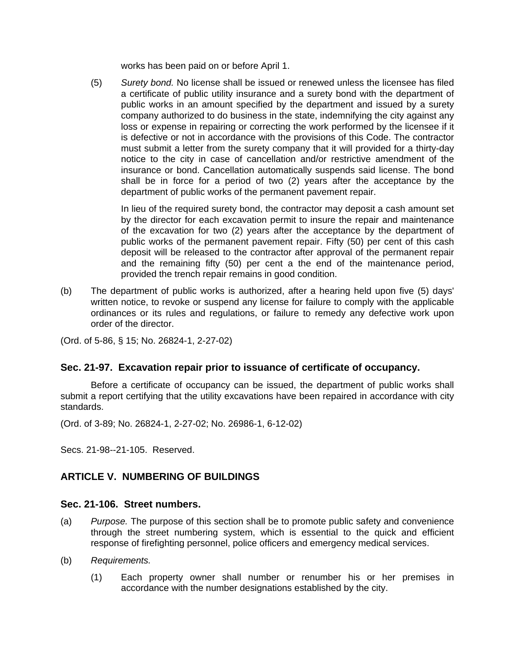works has been paid on or before April 1.

(5) *Surety bond.* No license shall be issued or renewed unless the licensee has filed a certificate of public utility insurance and a surety bond with the department of public works in an amount specified by the department and issued by a surety company authorized to do business in the state, indemnifying the city against any loss or expense in repairing or correcting the work performed by the licensee if it is defective or not in accordance with the provisions of this Code. The contractor must submit a letter from the surety company that it will provided for a thirty-day notice to the city in case of cancellation and/or restrictive amendment of the insurance or bond. Cancellation automatically suspends said license. The bond shall be in force for a period of two (2) years after the acceptance by the department of public works of the permanent pavement repair.

In lieu of the required surety bond, the contractor may deposit a cash amount set by the director for each excavation permit to insure the repair and maintenance of the excavation for two (2) years after the acceptance by the department of public works of the permanent pavement repair. Fifty (50) per cent of this cash deposit will be released to the contractor after approval of the permanent repair and the remaining fifty (50) per cent a the end of the maintenance period, provided the trench repair remains in good condition.

(b) The department of public works is authorized, after a hearing held upon five (5) days' written notice, to revoke or suspend any license for failure to comply with the applicable ordinances or its rules and regulations, or failure to remedy any defective work upon order of the director.

(Ord. of 5-86, § 15; No. 26824-1, 2-27-02)

## **Sec. 21-97. Excavation repair prior to issuance of certificate of occupancy.**

Before a certificate of occupancy can be issued, the department of public works shall submit a report certifying that the utility excavations have been repaired in accordance with city standards.

(Ord. of 3-89; No. 26824-1, 2-27-02; No. 26986-1, 6-12-02)

Secs. 21-98--21-105. Reserved.

# **ARTICLE V. NUMBERING OF BUILDINGS**

### **Sec. 21-106. Street numbers.**

- (a) *Purpose.* The purpose of this section shall be to promote public safety and convenience through the street numbering system, which is essential to the quick and efficient response of firefighting personnel, police officers and emergency medical services.
- (b) *Requirements.*
	- (1) Each property owner shall number or renumber his or her premises in accordance with the number designations established by the city.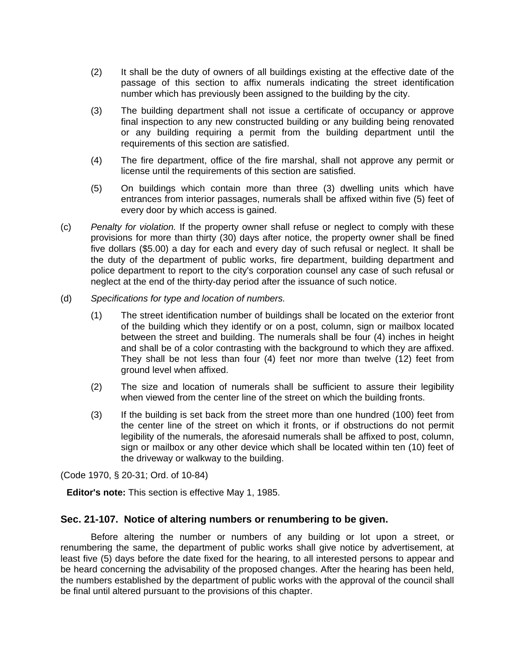- (2) It shall be the duty of owners of all buildings existing at the effective date of the passage of this section to affix numerals indicating the street identification number which has previously been assigned to the building by the city.
- (3) The building department shall not issue a certificate of occupancy or approve final inspection to any new constructed building or any building being renovated or any building requiring a permit from the building department until the requirements of this section are satisfied.
- (4) The fire department, office of the fire marshal, shall not approve any permit or license until the requirements of this section are satisfied.
- (5) On buildings which contain more than three (3) dwelling units which have entrances from interior passages, numerals shall be affixed within five (5) feet of every door by which access is gained.
- (c) *Penalty for violation.* If the property owner shall refuse or neglect to comply with these provisions for more than thirty (30) days after notice, the property owner shall be fined five dollars (\$5.00) a day for each and every day of such refusal or neglect. It shall be the duty of the department of public works, fire department, building department and police department to report to the city's corporation counsel any case of such refusal or neglect at the end of the thirty-day period after the issuance of such notice.
- (d) *Specifications for type and location of numbers.*
	- (1) The street identification number of buildings shall be located on the exterior front of the building which they identify or on a post, column, sign or mailbox located between the street and building. The numerals shall be four (4) inches in height and shall be of a color contrasting with the background to which they are affixed. They shall be not less than four (4) feet nor more than twelve (12) feet from ground level when affixed.
	- (2) The size and location of numerals shall be sufficient to assure their legibility when viewed from the center line of the street on which the building fronts.
	- (3) If the building is set back from the street more than one hundred (100) feet from the center line of the street on which it fronts, or if obstructions do not permit legibility of the numerals, the aforesaid numerals shall be affixed to post, column, sign or mailbox or any other device which shall be located within ten (10) feet of the driveway or walkway to the building.

(Code 1970, § 20-31; Ord. of 10-84)

**Editor's note:** This section is effective May 1, 1985.

#### **Sec. 21-107. Notice of altering numbers or renumbering to be given.**

Before altering the number or numbers of any building or lot upon a street, or renumbering the same, the department of public works shall give notice by advertisement, at least five (5) days before the date fixed for the hearing, to all interested persons to appear and be heard concerning the advisability of the proposed changes. After the hearing has been held, the numbers established by the department of public works with the approval of the council shall be final until altered pursuant to the provisions of this chapter.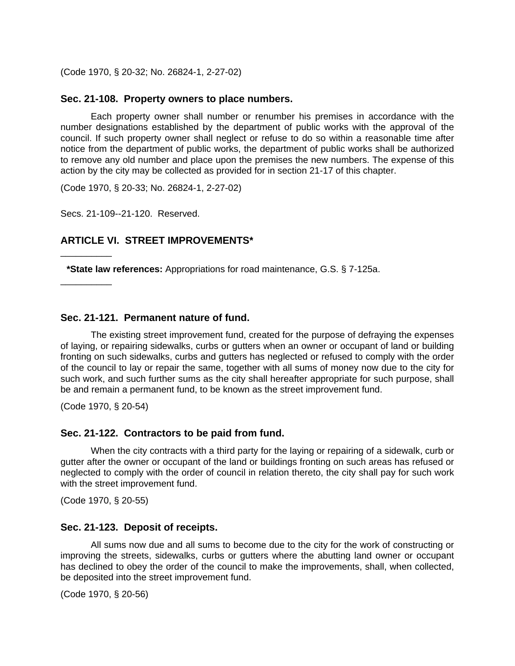(Code 1970, § 20-32; No. 26824-1, 2-27-02)

#### **Sec. 21-108. Property owners to place numbers.**

Each property owner shall number or renumber his premises in accordance with the number designations established by the department of public works with the approval of the council. If such property owner shall neglect or refuse to do so within a reasonable time after notice from the department of public works, the department of public works shall be authorized to remove any old number and place upon the premises the new numbers. The expense of this action by the city may be collected as provided for in section 21-17 of this chapter.

(Code 1970, § 20-33; No. 26824-1, 2-27-02)

Secs. 21-109--21-120. Reserved.

#### **ARTICLE VI. STREET IMPROVEMENTS\***

**\*State law references:** Appropriations for road maintenance, G.S. § 7-125a.

#### **Sec. 21-121. Permanent nature of fund.**

The existing street improvement fund, created for the purpose of defraying the expenses of laying, or repairing sidewalks, curbs or gutters when an owner or occupant of land or building fronting on such sidewalks, curbs and gutters has neglected or refused to comply with the order of the council to lay or repair the same, together with all sums of money now due to the city for such work, and such further sums as the city shall hereafter appropriate for such purpose, shall be and remain a permanent fund, to be known as the street improvement fund.

(Code 1970, § 20-54)

\_\_\_\_\_\_\_\_\_\_

\_\_\_\_\_\_\_\_\_\_

#### **Sec. 21-122. Contractors to be paid from fund.**

When the city contracts with a third party for the laying or repairing of a sidewalk, curb or gutter after the owner or occupant of the land or buildings fronting on such areas has refused or neglected to comply with the order of council in relation thereto, the city shall pay for such work with the street improvement fund.

(Code 1970, § 20-55)

#### **Sec. 21-123. Deposit of receipts.**

All sums now due and all sums to become due to the city for the work of constructing or improving the streets, sidewalks, curbs or gutters where the abutting land owner or occupant has declined to obey the order of the council to make the improvements, shall, when collected, be deposited into the street improvement fund.

(Code 1970, § 20-56)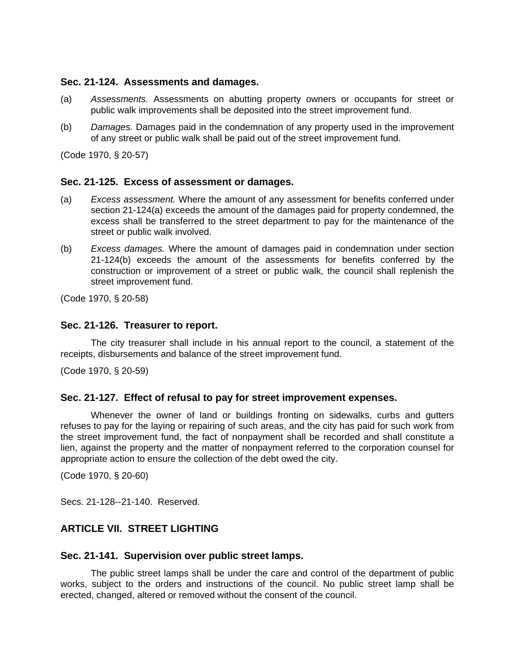### **Sec. 21-124. Assessments and damages.**

- (a) *Assessments.* Assessments on abutting property owners or occupants for street or public walk improvements shall be deposited into the street improvement fund.
- (b) *Damages.* Damages paid in the condemnation of any property used in the improvement of any street or public walk shall be paid out of the street improvement fund.

(Code 1970, § 20-57)

## **Sec. 21-125. Excess of assessment or damages.**

- (a) *Excess assessment.* Where the amount of any assessment for benefits conferred under section 21-124(a) exceeds the amount of the damages paid for property condemned, the excess shall be transferred to the street department to pay for the maintenance of the street or public walk involved.
- (b) *Excess damages.* Where the amount of damages paid in condemnation under section 21-124(b) exceeds the amount of the assessments for benefits conferred by the construction or improvement of a street or public walk, the council shall replenish the street improvement fund.

(Code 1970, § 20-58)

### **Sec. 21-126. Treasurer to report.**

The city treasurer shall include in his annual report to the council, a statement of the receipts, disbursements and balance of the street improvement fund.

(Code 1970, § 20-59)

### **Sec. 21-127. Effect of refusal to pay for street improvement expenses.**

Whenever the owner of land or buildings fronting on sidewalks, curbs and gutters refuses to pay for the laying or repairing of such areas, and the city has paid for such work from the street improvement fund, the fact of nonpayment shall be recorded and shall constitute a lien, against the property and the matter of nonpayment referred to the corporation counsel for appropriate action to ensure the collection of the debt owed the city.

(Code 1970, § 20-60)

Secs. 21-128--21-140. Reserved.

# **ARTICLE VII. STREET LIGHTING**

### **Sec. 21-141. Supervision over public street lamps.**

The public street lamps shall be under the care and control of the department of public works, subject to the orders and instructions of the council. No public street lamp shall be erected, changed, altered or removed without the consent of the council.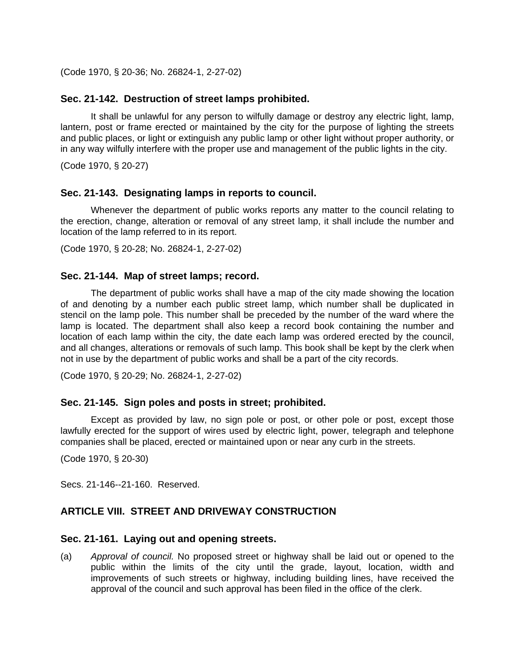(Code 1970, § 20-36; No. 26824-1, 2-27-02)

#### **Sec. 21-142. Destruction of street lamps prohibited.**

It shall be unlawful for any person to wilfully damage or destroy any electric light, lamp, lantern, post or frame erected or maintained by the city for the purpose of lighting the streets and public places, or light or extinguish any public lamp or other light without proper authority, or in any way wilfully interfere with the proper use and management of the public lights in the city.

(Code 1970, § 20-27)

#### **Sec. 21-143. Designating lamps in reports to council.**

Whenever the department of public works reports any matter to the council relating to the erection, change, alteration or removal of any street lamp, it shall include the number and location of the lamp referred to in its report.

(Code 1970, § 20-28; No. 26824-1, 2-27-02)

#### **Sec. 21-144. Map of street lamps; record.**

The department of public works shall have a map of the city made showing the location of and denoting by a number each public street lamp, which number shall be duplicated in stencil on the lamp pole. This number shall be preceded by the number of the ward where the lamp is located. The department shall also keep a record book containing the number and location of each lamp within the city, the date each lamp was ordered erected by the council, and all changes, alterations or removals of such lamp. This book shall be kept by the clerk when not in use by the department of public works and shall be a part of the city records.

(Code 1970, § 20-29; No. 26824-1, 2-27-02)

#### **Sec. 21-145. Sign poles and posts in street; prohibited.**

Except as provided by law, no sign pole or post, or other pole or post, except those lawfully erected for the support of wires used by electric light, power, telegraph and telephone companies shall be placed, erected or maintained upon or near any curb in the streets.

(Code 1970, § 20-30)

Secs. 21-146--21-160. Reserved.

### **ARTICLE VIII. STREET AND DRIVEWAY CONSTRUCTION**

#### **Sec. 21-161. Laying out and opening streets.**

(a) *Approval of council.* No proposed street or highway shall be laid out or opened to the public within the limits of the city until the grade, layout, location, width and improvements of such streets or highway, including building lines, have received the approval of the council and such approval has been filed in the office of the clerk.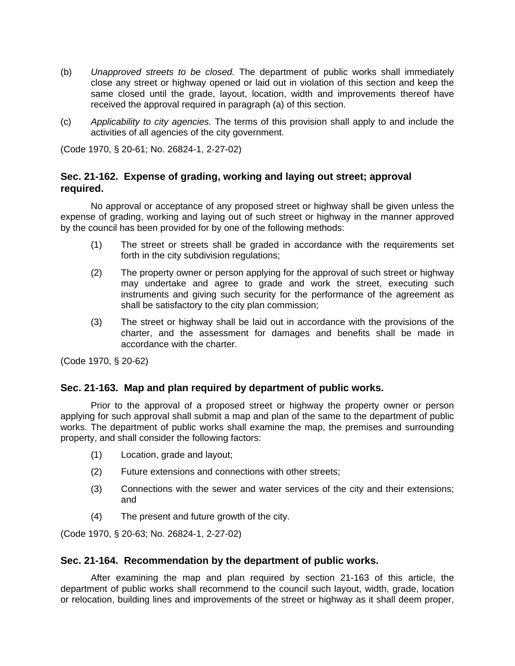- (b) *Unapproved streets to be closed.* The department of public works shall immediately close any street or highway opened or laid out in violation of this section and keep the same closed until the grade, layout, location, width and improvements thereof have received the approval required in paragraph (a) of this section.
- (c) *Applicability to city agencies.* The terms of this provision shall apply to and include the activities of all agencies of the city government.

(Code 1970, § 20-61; No. 26824-1, 2-27-02)

## **Sec. 21-162. Expense of grading, working and laying out street; approval required.**

No approval or acceptance of any proposed street or highway shall be given unless the expense of grading, working and laying out of such street or highway in the manner approved by the council has been provided for by one of the following methods:

- (1) The street or streets shall be graded in accordance with the requirements set forth in the city subdivision regulations;
- (2) The property owner or person applying for the approval of such street or highway may undertake and agree to grade and work the street, executing such instruments and giving such security for the performance of the agreement as shall be satisfactory to the city plan commission;
- (3) The street or highway shall be laid out in accordance with the provisions of the charter, and the assessment for damages and benefits shall be made in accordance with the charter.

(Code 1970, § 20-62)

### **Sec. 21-163. Map and plan required by department of public works.**

Prior to the approval of a proposed street or highway the property owner or person applying for such approval shall submit a map and plan of the same to the department of public works. The department of public works shall examine the map, the premises and surrounding property, and shall consider the following factors:

- (1) Location, grade and layout;
- (2) Future extensions and connections with other streets;
- (3) Connections with the sewer and water services of the city and their extensions; and
- (4) The present and future growth of the city.

(Code 1970, § 20-63; No. 26824-1, 2-27-02)

### **Sec. 21-164. Recommendation by the department of public works.**

After examining the map and plan required by section 21-163 of this article, the department of public works shall recommend to the council such layout, width, grade, location or relocation, building lines and improvements of the street or highway as it shall deem proper,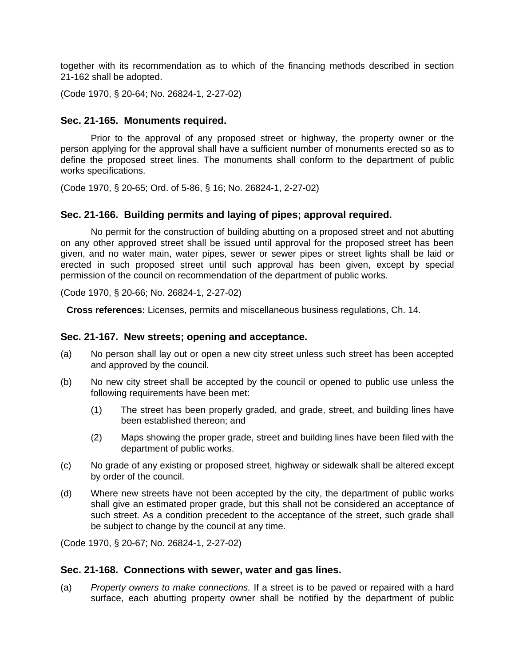together with its recommendation as to which of the financing methods described in section 21-162 shall be adopted.

(Code 1970, § 20-64; No. 26824-1, 2-27-02)

#### **Sec. 21-165. Monuments required.**

Prior to the approval of any proposed street or highway, the property owner or the person applying for the approval shall have a sufficient number of monuments erected so as to define the proposed street lines. The monuments shall conform to the department of public works specifications.

(Code 1970, § 20-65; Ord. of 5-86, § 16; No. 26824-1, 2-27-02)

#### **Sec. 21-166. Building permits and laying of pipes; approval required.**

No permit for the construction of building abutting on a proposed street and not abutting on any other approved street shall be issued until approval for the proposed street has been given, and no water main, water pipes, sewer or sewer pipes or street lights shall be laid or erected in such proposed street until such approval has been given, except by special permission of the council on recommendation of the department of public works.

(Code 1970, § 20-66; No. 26824-1, 2-27-02)

**Cross references:** Licenses, permits and miscellaneous business regulations, Ch. 14.

#### **Sec. 21-167. New streets; opening and acceptance.**

- (a) No person shall lay out or open a new city street unless such street has been accepted and approved by the council.
- (b) No new city street shall be accepted by the council or opened to public use unless the following requirements have been met:
	- (1) The street has been properly graded, and grade, street, and building lines have been established thereon; and
	- (2) Maps showing the proper grade, street and building lines have been filed with the department of public works.
- (c) No grade of any existing or proposed street, highway or sidewalk shall be altered except by order of the council.
- (d) Where new streets have not been accepted by the city, the department of public works shall give an estimated proper grade, but this shall not be considered an acceptance of such street. As a condition precedent to the acceptance of the street, such grade shall be subject to change by the council at any time.

(Code 1970, § 20-67; No. 26824-1, 2-27-02)

#### **Sec. 21-168. Connections with sewer, water and gas lines.**

(a) *Property owners to make connections.* If a street is to be paved or repaired with a hard surface, each abutting property owner shall be notified by the department of public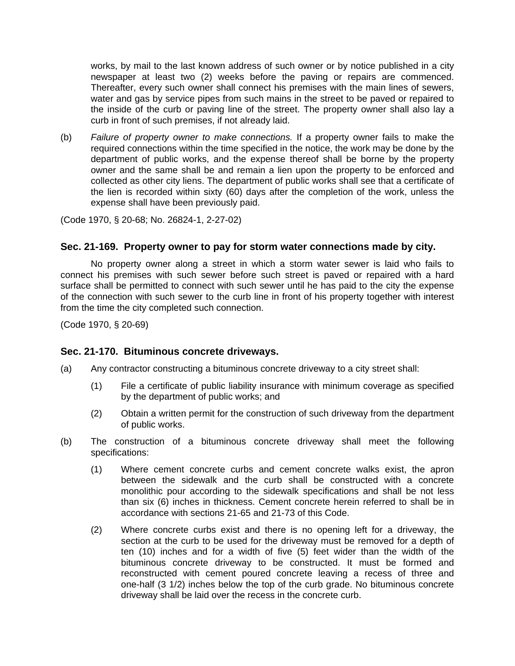works, by mail to the last known address of such owner or by notice published in a city newspaper at least two (2) weeks before the paving or repairs are commenced. Thereafter, every such owner shall connect his premises with the main lines of sewers, water and gas by service pipes from such mains in the street to be paved or repaired to the inside of the curb or paving line of the street. The property owner shall also lay a curb in front of such premises, if not already laid.

(b) *Failure of property owner to make connections.* If a property owner fails to make the required connections within the time specified in the notice, the work may be done by the department of public works, and the expense thereof shall be borne by the property owner and the same shall be and remain a lien upon the property to be enforced and collected as other city liens. The department of public works shall see that a certificate of the lien is recorded within sixty (60) days after the completion of the work, unless the expense shall have been previously paid.

(Code 1970, § 20-68; No. 26824-1, 2-27-02)

### **Sec. 21-169. Property owner to pay for storm water connections made by city.**

No property owner along a street in which a storm water sewer is laid who fails to connect his premises with such sewer before such street is paved or repaired with a hard surface shall be permitted to connect with such sewer until he has paid to the city the expense of the connection with such sewer to the curb line in front of his property together with interest from the time the city completed such connection.

(Code 1970, § 20-69)

### **Sec. 21-170. Bituminous concrete driveways.**

- (a) Any contractor constructing a bituminous concrete driveway to a city street shall:
	- (1) File a certificate of public liability insurance with minimum coverage as specified by the department of public works; and
	- (2) Obtain a written permit for the construction of such driveway from the department of public works.
- (b) The construction of a bituminous concrete driveway shall meet the following specifications:
	- (1) Where cement concrete curbs and cement concrete walks exist, the apron between the sidewalk and the curb shall be constructed with a concrete monolithic pour according to the sidewalk specifications and shall be not less than six (6) inches in thickness. Cement concrete herein referred to shall be in accordance with sections 21-65 and 21-73 of this Code.
	- (2) Where concrete curbs exist and there is no opening left for a driveway, the section at the curb to be used for the driveway must be removed for a depth of ten (10) inches and for a width of five (5) feet wider than the width of the bituminous concrete driveway to be constructed. It must be formed and reconstructed with cement poured concrete leaving a recess of three and one-half (3 1/2) inches below the top of the curb grade. No bituminous concrete driveway shall be laid over the recess in the concrete curb.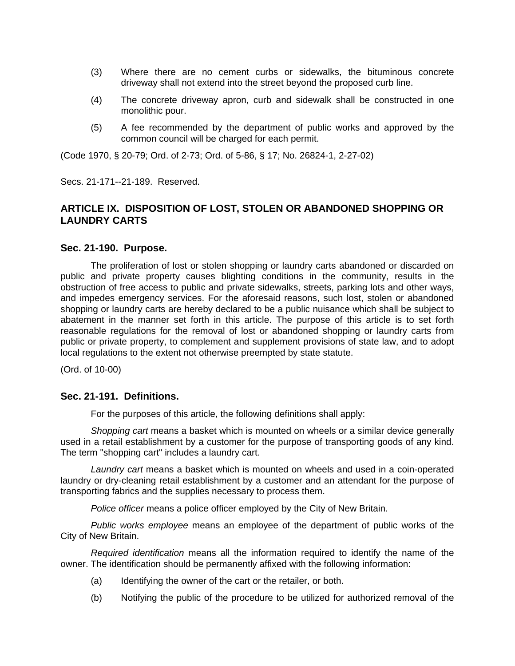- (3) Where there are no cement curbs or sidewalks, the bituminous concrete driveway shall not extend into the street beyond the proposed curb line.
- (4) The concrete driveway apron, curb and sidewalk shall be constructed in one monolithic pour.
- (5) A fee recommended by the department of public works and approved by the common council will be charged for each permit.

(Code 1970, § 20-79; Ord. of 2-73; Ord. of 5-86, § 17; No. 26824-1, 2-27-02)

Secs. 21-171--21-189. Reserved.

# **ARTICLE IX. DISPOSITION OF LOST, STOLEN OR ABANDONED SHOPPING OR LAUNDRY CARTS**

#### **Sec. 21-190. Purpose.**

The proliferation of lost or stolen shopping or laundry carts abandoned or discarded on public and private property causes blighting conditions in the community, results in the obstruction of free access to public and private sidewalks, streets, parking lots and other ways, and impedes emergency services. For the aforesaid reasons, such lost, stolen or abandoned shopping or laundry carts are hereby declared to be a public nuisance which shall be subject to abatement in the manner set forth in this article. The purpose of this article is to set forth reasonable regulations for the removal of lost or abandoned shopping or laundry carts from public or private property, to complement and supplement provisions of state law, and to adopt local regulations to the extent not otherwise preempted by state statute.

(Ord. of 10-00)

#### **Sec. 21-191. Definitions.**

For the purposes of this article, the following definitions shall apply:

*Shopping cart* means a basket which is mounted on wheels or a similar device generally used in a retail establishment by a customer for the purpose of transporting goods of any kind. The term "shopping cart" includes a laundry cart.

*Laundry cart* means a basket which is mounted on wheels and used in a coin-operated laundry or dry-cleaning retail establishment by a customer and an attendant for the purpose of transporting fabrics and the supplies necessary to process them.

*Police officer* means a police officer employed by the City of New Britain.

*Public works employee* means an employee of the department of public works of the City of New Britain.

*Required identification* means all the information required to identify the name of the owner. The identification should be permanently affixed with the following information:

- (a) Identifying the owner of the cart or the retailer, or both.
- (b) Notifying the public of the procedure to be utilized for authorized removal of the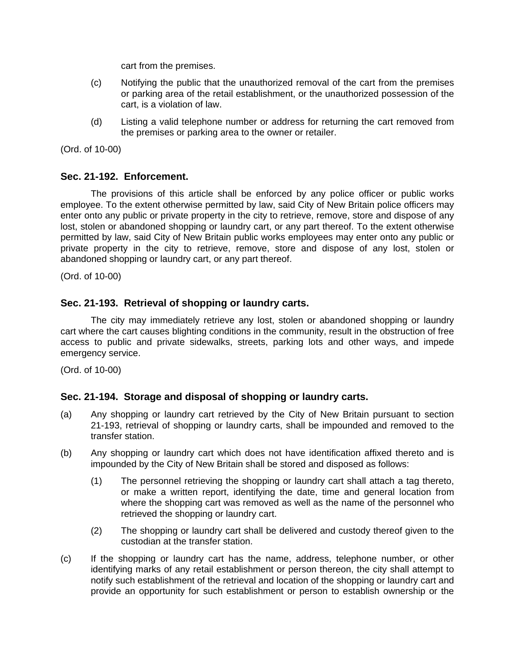cart from the premises.

- (c) Notifying the public that the unauthorized removal of the cart from the premises or parking area of the retail establishment, or the unauthorized possession of the cart, is a violation of law.
- (d) Listing a valid telephone number or address for returning the cart removed from the premises or parking area to the owner or retailer.

(Ord. of 10-00)

### **Sec. 21-192. Enforcement.**

The provisions of this article shall be enforced by any police officer or public works employee. To the extent otherwise permitted by law, said City of New Britain police officers may enter onto any public or private property in the city to retrieve, remove, store and dispose of any lost, stolen or abandoned shopping or laundry cart, or any part thereof. To the extent otherwise permitted by law, said City of New Britain public works employees may enter onto any public or private property in the city to retrieve, remove, store and dispose of any lost, stolen or abandoned shopping or laundry cart, or any part thereof.

(Ord. of 10-00)

## **Sec. 21-193. Retrieval of shopping or laundry carts.**

The city may immediately retrieve any lost, stolen or abandoned shopping or laundry cart where the cart causes blighting conditions in the community, result in the obstruction of free access to public and private sidewalks, streets, parking lots and other ways, and impede emergency service.

(Ord. of 10-00)

### **Sec. 21-194. Storage and disposal of shopping or laundry carts.**

- (a) Any shopping or laundry cart retrieved by the City of New Britain pursuant to section 21-193, retrieval of shopping or laundry carts, shall be impounded and removed to the transfer station.
- (b) Any shopping or laundry cart which does not have identification affixed thereto and is impounded by the City of New Britain shall be stored and disposed as follows:
	- (1) The personnel retrieving the shopping or laundry cart shall attach a tag thereto, or make a written report, identifying the date, time and general location from where the shopping cart was removed as well as the name of the personnel who retrieved the shopping or laundry cart.
	- (2) The shopping or laundry cart shall be delivered and custody thereof given to the custodian at the transfer station.
- (c) If the shopping or laundry cart has the name, address, telephone number, or other identifying marks of any retail establishment or person thereon, the city shall attempt to notify such establishment of the retrieval and location of the shopping or laundry cart and provide an opportunity for such establishment or person to establish ownership or the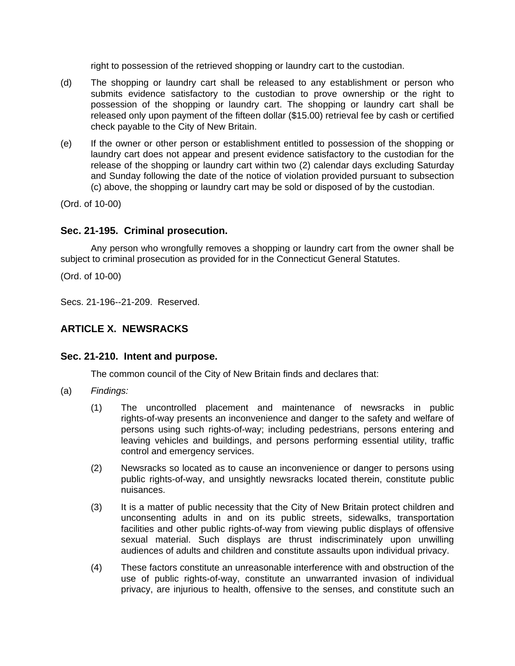right to possession of the retrieved shopping or laundry cart to the custodian.

- (d) The shopping or laundry cart shall be released to any establishment or person who submits evidence satisfactory to the custodian to prove ownership or the right to possession of the shopping or laundry cart. The shopping or laundry cart shall be released only upon payment of the fifteen dollar (\$15.00) retrieval fee by cash or certified check payable to the City of New Britain.
- (e) If the owner or other person or establishment entitled to possession of the shopping or laundry cart does not appear and present evidence satisfactory to the custodian for the release of the shopping or laundry cart within two (2) calendar days excluding Saturday and Sunday following the date of the notice of violation provided pursuant to subsection (c) above, the shopping or laundry cart may be sold or disposed of by the custodian.

(Ord. of 10-00)

## **Sec. 21-195. Criminal prosecution.**

Any person who wrongfully removes a shopping or laundry cart from the owner shall be subject to criminal prosecution as provided for in the Connecticut General Statutes.

(Ord. of 10-00)

Secs. 21-196--21-209. Reserved.

## **ARTICLE X. NEWSRACKS**

### **Sec. 21-210. Intent and purpose.**

The common council of the City of New Britain finds and declares that:

- (a) *Findings:*
	- (1) The uncontrolled placement and maintenance of newsracks in public rights-of-way presents an inconvenience and danger to the safety and welfare of persons using such rights-of-way; including pedestrians, persons entering and leaving vehicles and buildings, and persons performing essential utility, traffic control and emergency services.
	- (2) Newsracks so located as to cause an inconvenience or danger to persons using public rights-of-way, and unsightly newsracks located therein, constitute public nuisances.
	- (3) It is a matter of public necessity that the City of New Britain protect children and unconsenting adults in and on its public streets, sidewalks, transportation facilities and other public rights-of-way from viewing public displays of offensive sexual material. Such displays are thrust indiscriminately upon unwilling audiences of adults and children and constitute assaults upon individual privacy.
	- (4) These factors constitute an unreasonable interference with and obstruction of the use of public rights-of-way, constitute an unwarranted invasion of individual privacy, are injurious to health, offensive to the senses, and constitute such an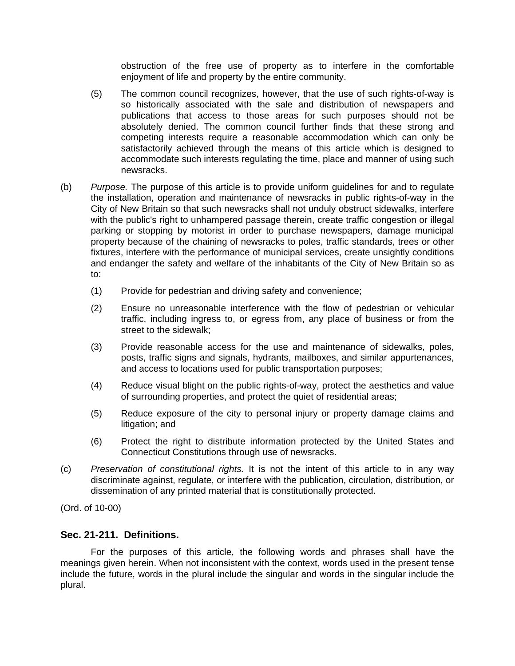obstruction of the free use of property as to interfere in the comfortable enjoyment of life and property by the entire community.

- (5) The common council recognizes, however, that the use of such rights-of-way is so historically associated with the sale and distribution of newspapers and publications that access to those areas for such purposes should not be absolutely denied. The common council further finds that these strong and competing interests require a reasonable accommodation which can only be satisfactorily achieved through the means of this article which is designed to accommodate such interests regulating the time, place and manner of using such newsracks.
- (b) *Purpose.* The purpose of this article is to provide uniform guidelines for and to regulate the installation, operation and maintenance of newsracks in public rights-of-way in the City of New Britain so that such newsracks shall not unduly obstruct sidewalks, interfere with the public's right to unhampered passage therein, create traffic congestion or illegal parking or stopping by motorist in order to purchase newspapers, damage municipal property because of the chaining of newsracks to poles, traffic standards, trees or other fixtures, interfere with the performance of municipal services, create unsightly conditions and endanger the safety and welfare of the inhabitants of the City of New Britain so as to:
	- (1) Provide for pedestrian and driving safety and convenience;
	- (2) Ensure no unreasonable interference with the flow of pedestrian or vehicular traffic, including ingress to, or egress from, any place of business or from the street to the sidewalk;
	- (3) Provide reasonable access for the use and maintenance of sidewalks, poles, posts, traffic signs and signals, hydrants, mailboxes, and similar appurtenances, and access to locations used for public transportation purposes;
	- (4) Reduce visual blight on the public rights-of-way, protect the aesthetics and value of surrounding properties, and protect the quiet of residential areas;
	- (5) Reduce exposure of the city to personal injury or property damage claims and litigation; and
	- (6) Protect the right to distribute information protected by the United States and Connecticut Constitutions through use of newsracks.
- (c) *Preservation of constitutional rights.* It is not the intent of this article to in any way discriminate against, regulate, or interfere with the publication, circulation, distribution, or dissemination of any printed material that is constitutionally protected.

(Ord. of 10-00)

### **Sec. 21-211. Definitions.**

For the purposes of this article, the following words and phrases shall have the meanings given herein. When not inconsistent with the context, words used in the present tense include the future, words in the plural include the singular and words in the singular include the plural.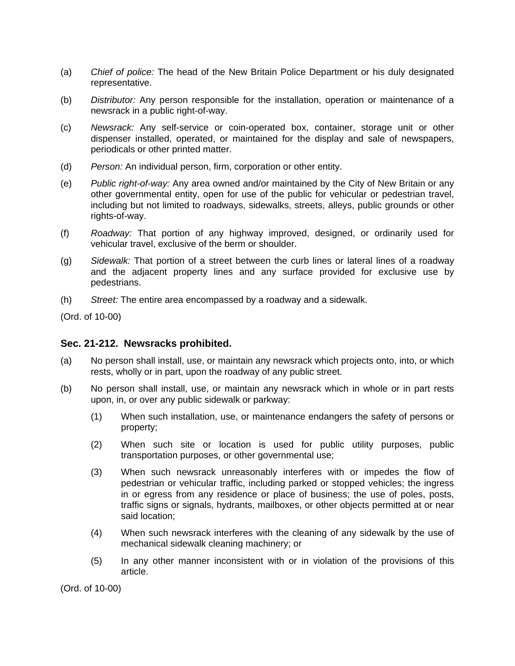- (a) *Chief of police:* The head of the New Britain Police Department or his duly designated representative.
- (b) *Distributor:* Any person responsible for the installation, operation or maintenance of a newsrack in a public right-of-way.
- (c) *Newsrack:* Any self-service or coin-operated box, container, storage unit or other dispenser installed, operated, or maintained for the display and sale of newspapers, periodicals or other printed matter.
- (d) *Person:* An individual person, firm, corporation or other entity.
- (e) *Public right-of-way:* Any area owned and/or maintained by the City of New Britain or any other governmental entity, open for use of the public for vehicular or pedestrian travel, including but not limited to roadways, sidewalks, streets, alleys, public grounds or other rights-of-way.
- (f) *Roadway:* That portion of any highway improved, designed, or ordinarily used for vehicular travel, exclusive of the berm or shoulder.
- (g) *Sidewalk:* That portion of a street between the curb lines or lateral lines of a roadway and the adjacent property lines and any surface provided for exclusive use by pedestrians.
- (h) *Street:* The entire area encompassed by a roadway and a sidewalk.

(Ord. of 10-00)

### **Sec. 21-212. Newsracks prohibited.**

- (a) No person shall install, use, or maintain any newsrack which projects onto, into, or which rests, wholly or in part, upon the roadway of any public street.
- (b) No person shall install, use, or maintain any newsrack which in whole or in part rests upon, in, or over any public sidewalk or parkway:
	- (1) When such installation, use, or maintenance endangers the safety of persons or property;
	- (2) When such site or location is used for public utility purposes, public transportation purposes, or other governmental use;
	- (3) When such newsrack unreasonably interferes with or impedes the flow of pedestrian or vehicular traffic, including parked or stopped vehicles; the ingress in or egress from any residence or place of business; the use of poles, posts, traffic signs or signals, hydrants, mailboxes, or other objects permitted at or near said location;
	- (4) When such newsrack interferes with the cleaning of any sidewalk by the use of mechanical sidewalk cleaning machinery; or
	- (5) In any other manner inconsistent with or in violation of the provisions of this article.

(Ord. of 10-00)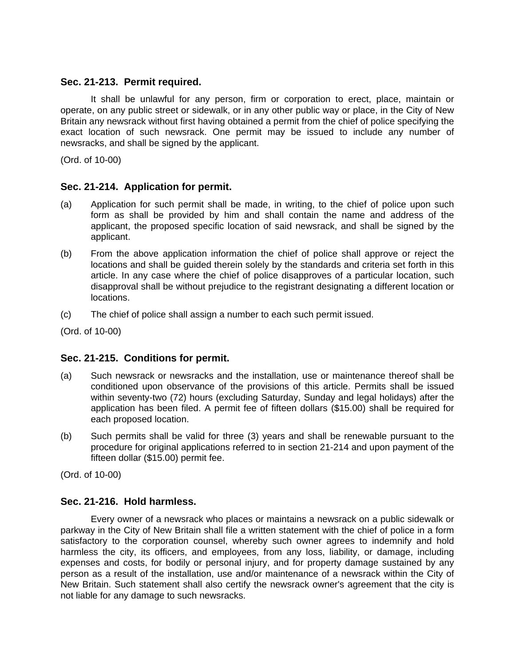### **Sec. 21-213. Permit required.**

It shall be unlawful for any person, firm or corporation to erect, place, maintain or operate, on any public street or sidewalk, or in any other public way or place, in the City of New Britain any newsrack without first having obtained a permit from the chief of police specifying the exact location of such newsrack. One permit may be issued to include any number of newsracks, and shall be signed by the applicant.

(Ord. of 10-00)

## **Sec. 21-214. Application for permit.**

- (a) Application for such permit shall be made, in writing, to the chief of police upon such form as shall be provided by him and shall contain the name and address of the applicant, the proposed specific location of said newsrack, and shall be signed by the applicant.
- (b) From the above application information the chief of police shall approve or reject the locations and shall be guided therein solely by the standards and criteria set forth in this article. In any case where the chief of police disapproves of a particular location, such disapproval shall be without prejudice to the registrant designating a different location or locations.
- (c) The chief of police shall assign a number to each such permit issued.

(Ord. of 10-00)

### **Sec. 21-215. Conditions for permit.**

- (a) Such newsrack or newsracks and the installation, use or maintenance thereof shall be conditioned upon observance of the provisions of this article. Permits shall be issued within seventy-two (72) hours (excluding Saturday, Sunday and legal holidays) after the application has been filed. A permit fee of fifteen dollars (\$15.00) shall be required for each proposed location.
- (b) Such permits shall be valid for three (3) years and shall be renewable pursuant to the procedure for original applications referred to in section 21-214 and upon payment of the fifteen dollar (\$15.00) permit fee.

(Ord. of 10-00)

### **Sec. 21-216. Hold harmless.**

Every owner of a newsrack who places or maintains a newsrack on a public sidewalk or parkway in the City of New Britain shall file a written statement with the chief of police in a form satisfactory to the corporation counsel, whereby such owner agrees to indemnify and hold harmless the city, its officers, and employees, from any loss, liability, or damage, including expenses and costs, for bodily or personal injury, and for property damage sustained by any person as a result of the installation, use and/or maintenance of a newsrack within the City of New Britain. Such statement shall also certify the newsrack owner's agreement that the city is not liable for any damage to such newsracks.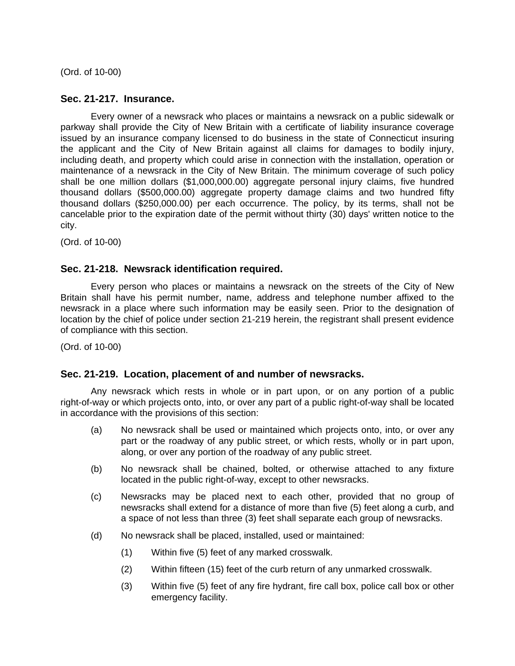(Ord. of 10-00)

### **Sec. 21-217. Insurance.**

Every owner of a newsrack who places or maintains a newsrack on a public sidewalk or parkway shall provide the City of New Britain with a certificate of liability insurance coverage issued by an insurance company licensed to do business in the state of Connecticut insuring the applicant and the City of New Britain against all claims for damages to bodily injury, including death, and property which could arise in connection with the installation, operation or maintenance of a newsrack in the City of New Britain. The minimum coverage of such policy shall be one million dollars (\$1,000,000.00) aggregate personal injury claims, five hundred thousand dollars (\$500,000.00) aggregate property damage claims and two hundred fifty thousand dollars (\$250,000.00) per each occurrence. The policy, by its terms, shall not be cancelable prior to the expiration date of the permit without thirty (30) days' written notice to the city.

(Ord. of 10-00)

### **Sec. 21-218. Newsrack identification required.**

Every person who places or maintains a newsrack on the streets of the City of New Britain shall have his permit number, name, address and telephone number affixed to the newsrack in a place where such information may be easily seen. Prior to the designation of location by the chief of police under section 21-219 herein, the registrant shall present evidence of compliance with this section.

(Ord. of 10-00)

### **Sec. 21-219. Location, placement of and number of newsracks.**

Any newsrack which rests in whole or in part upon, or on any portion of a public right-of-way or which projects onto, into, or over any part of a public right-of-way shall be located in accordance with the provisions of this section:

- (a) No newsrack shall be used or maintained which projects onto, into, or over any part or the roadway of any public street, or which rests, wholly or in part upon, along, or over any portion of the roadway of any public street.
- (b) No newsrack shall be chained, bolted, or otherwise attached to any fixture located in the public right-of-way, except to other newsracks.
- (c) Newsracks may be placed next to each other, provided that no group of newsracks shall extend for a distance of more than five (5) feet along a curb, and a space of not less than three (3) feet shall separate each group of newsracks.
- (d) No newsrack shall be placed, installed, used or maintained:
	- (1) Within five (5) feet of any marked crosswalk.
	- (2) Within fifteen (15) feet of the curb return of any unmarked crosswalk.
	- (3) Within five (5) feet of any fire hydrant, fire call box, police call box or other emergency facility.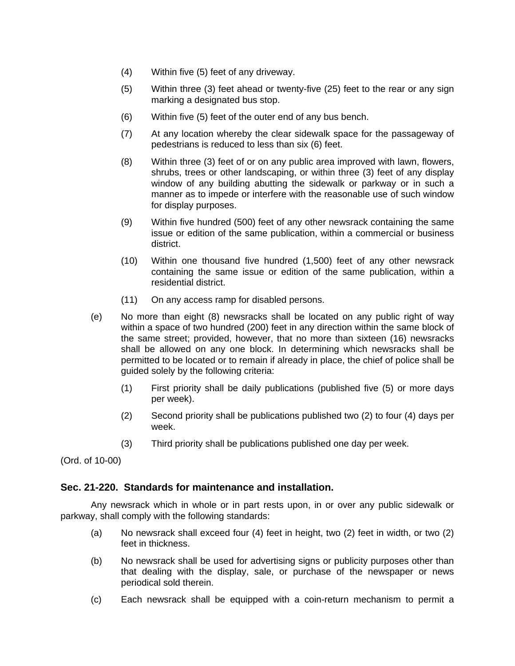- (4) Within five (5) feet of any driveway.
- (5) Within three (3) feet ahead or twenty-five (25) feet to the rear or any sign marking a designated bus stop.
- (6) Within five (5) feet of the outer end of any bus bench.
- (7) At any location whereby the clear sidewalk space for the passageway of pedestrians is reduced to less than six (6) feet.
- (8) Within three (3) feet of or on any public area improved with lawn, flowers, shrubs, trees or other landscaping, or within three (3) feet of any display window of any building abutting the sidewalk or parkway or in such a manner as to impede or interfere with the reasonable use of such window for display purposes.
- (9) Within five hundred (500) feet of any other newsrack containing the same issue or edition of the same publication, within a commercial or business district.
- (10) Within one thousand five hundred (1,500) feet of any other newsrack containing the same issue or edition of the same publication, within a residential district.
- (11) On any access ramp for disabled persons.
- (e) No more than eight (8) newsracks shall be located on any public right of way within a space of two hundred (200) feet in any direction within the same block of the same street; provided, however, that no more than sixteen (16) newsracks shall be allowed on any one block. In determining which newsracks shall be permitted to be located or to remain if already in place, the chief of police shall be guided solely by the following criteria:
	- (1) First priority shall be daily publications (published five (5) or more days per week).
	- (2) Second priority shall be publications published two (2) to four (4) days per week.
	- (3) Third priority shall be publications published one day per week.

(Ord. of 10-00)

### **Sec. 21-220. Standards for maintenance and installation.**

Any newsrack which in whole or in part rests upon, in or over any public sidewalk or parkway, shall comply with the following standards:

- (a) No newsrack shall exceed four (4) feet in height, two (2) feet in width, or two (2) feet in thickness.
- (b) No newsrack shall be used for advertising signs or publicity purposes other than that dealing with the display, sale, or purchase of the newspaper or news periodical sold therein.
- (c) Each newsrack shall be equipped with a coin-return mechanism to permit a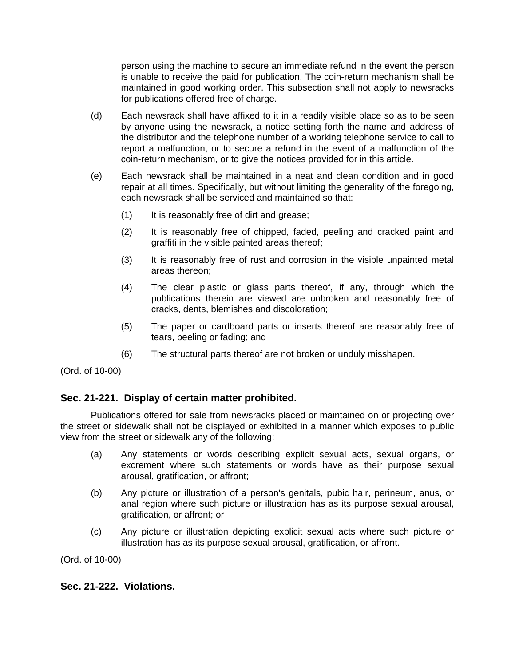person using the machine to secure an immediate refund in the event the person is unable to receive the paid for publication. The coin-return mechanism shall be maintained in good working order. This subsection shall not apply to newsracks for publications offered free of charge.

- (d) Each newsrack shall have affixed to it in a readily visible place so as to be seen by anyone using the newsrack, a notice setting forth the name and address of the distributor and the telephone number of a working telephone service to call to report a malfunction, or to secure a refund in the event of a malfunction of the coin-return mechanism, or to give the notices provided for in this article.
- (e) Each newsrack shall be maintained in a neat and clean condition and in good repair at all times. Specifically, but without limiting the generality of the foregoing, each newsrack shall be serviced and maintained so that:
	- (1) It is reasonably free of dirt and grease;
	- (2) It is reasonably free of chipped, faded, peeling and cracked paint and graffiti in the visible painted areas thereof;
	- (3) It is reasonably free of rust and corrosion in the visible unpainted metal areas thereon;
	- (4) The clear plastic or glass parts thereof, if any, through which the publications therein are viewed are unbroken and reasonably free of cracks, dents, blemishes and discoloration;
	- (5) The paper or cardboard parts or inserts thereof are reasonably free of tears, peeling or fading; and
	- (6) The structural parts thereof are not broken or unduly misshapen.

(Ord. of 10-00)

## **Sec. 21-221. Display of certain matter prohibited.**

Publications offered for sale from newsracks placed or maintained on or projecting over the street or sidewalk shall not be displayed or exhibited in a manner which exposes to public view from the street or sidewalk any of the following:

- (a) Any statements or words describing explicit sexual acts, sexual organs, or excrement where such statements or words have as their purpose sexual arousal, gratification, or affront;
- (b) Any picture or illustration of a person's genitals, pubic hair, perineum, anus, or anal region where such picture or illustration has as its purpose sexual arousal, gratification, or affront; or
- (c) Any picture or illustration depicting explicit sexual acts where such picture or illustration has as its purpose sexual arousal, gratification, or affront.

(Ord. of 10-00)

### **Sec. 21-222. Violations.**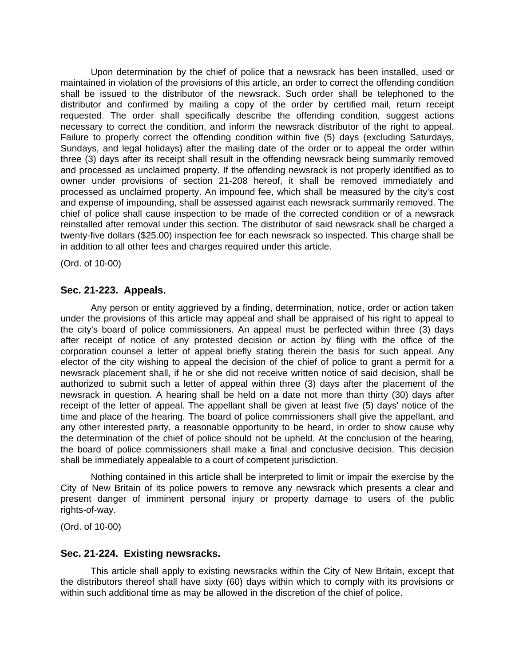Upon determination by the chief of police that a newsrack has been installed, used or maintained in violation of the provisions of this article, an order to correct the offending condition shall be issued to the distributor of the newsrack. Such order shall be telephoned to the distributor and confirmed by mailing a copy of the order by certified mail, return receipt requested. The order shall specifically describe the offending condition, suggest actions necessary to correct the condition, and inform the newsrack distributor of the right to appeal. Failure to properly correct the offending condition within five (5) days (excluding Saturdays, Sundays, and legal holidays) after the mailing date of the order or to appeal the order within three (3) days after its receipt shall result in the offending newsrack being summarily removed and processed as unclaimed property. If the offending newsrack is not properly identified as to owner under provisions of section 21-208 hereof, it shall be removed immediately and processed as unclaimed property. An impound fee, which shall be measured by the city's cost and expense of impounding, shall be assessed against each newsrack summarily removed. The chief of police shall cause inspection to be made of the corrected condition or of a newsrack reinstalled after removal under this section. The distributor of said newsrack shall be charged a twenty-five dollars (\$25.00) inspection fee for each newsrack so inspected. This charge shall be in addition to all other fees and charges required under this article.

(Ord. of 10-00)

### **Sec. 21-223. Appeals.**

Any person or entity aggrieved by a finding, determination, notice, order or action taken under the provisions of this article may appeal and shall be appraised of his right to appeal to the city's board of police commissioners. An appeal must be perfected within three (3) days after receipt of notice of any protested decision or action by filing with the office of the corporation counsel a letter of appeal briefly stating therein the basis for such appeal. Any elector of the city wishing to appeal the decision of the chief of police to grant a permit for a newsrack placement shall, if he or she did not receive written notice of said decision, shall be authorized to submit such a letter of appeal within three (3) days after the placement of the newsrack in question. A hearing shall be held on a date not more than thirty (30) days after receipt of the letter of appeal. The appellant shall be given at least five (5) days' notice of the time and place of the hearing. The board of police commissioners shall give the appellant, and any other interested party, a reasonable opportunity to be heard, in order to show cause why the determination of the chief of police should not be upheld. At the conclusion of the hearing, the board of police commissioners shall make a final and conclusive decision. This decision shall be immediately appealable to a court of competent jurisdiction.

Nothing contained in this article shall be interpreted to limit or impair the exercise by the City of New Britain of its police powers to remove any newsrack which presents a clear and present danger of imminent personal injury or property damage to users of the public rights-of-way.

(Ord. of 10-00)

### **Sec. 21-224. Existing newsracks.**

This article shall apply to existing newsracks within the City of New Britain, except that the distributors thereof shall have sixty (60) days within which to comply with its provisions or within such additional time as may be allowed in the discretion of the chief of police.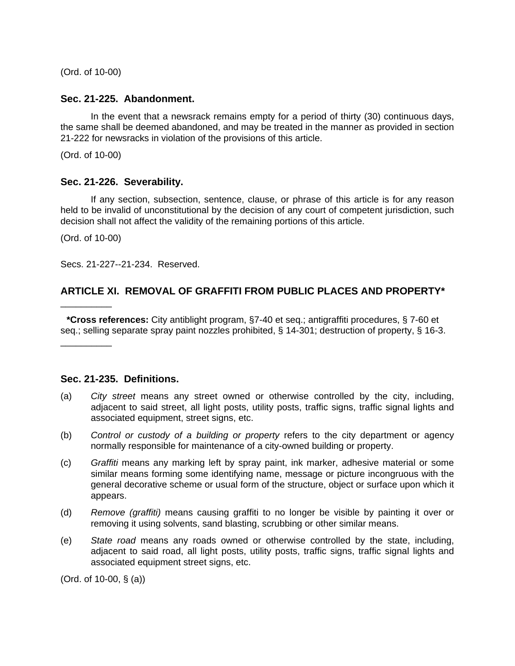(Ord. of 10-00)

#### **Sec. 21-225. Abandonment.**

In the event that a newsrack remains empty for a period of thirty (30) continuous days, the same shall be deemed abandoned, and may be treated in the manner as provided in section 21-222 for newsracks in violation of the provisions of this article.

(Ord. of 10-00)

### **Sec. 21-226. Severability.**

If any section, subsection, sentence, clause, or phrase of this article is for any reason held to be invalid of unconstitutional by the decision of any court of competent jurisdiction, such decision shall not affect the validity of the remaining portions of this article.

(Ord. of 10-00)

\_\_\_\_\_\_\_\_\_\_

\_\_\_\_\_\_\_\_\_\_

Secs. 21-227--21-234. Reserved.

# **ARTICLE XI. REMOVAL OF GRAFFITI FROM PUBLIC PLACES AND PROPERTY\***

**\*Cross references:** City antiblight program, §7-40 et seq.; antigraffiti procedures, § 7-60 et seq.; selling separate spray paint nozzles prohibited, § 14-301; destruction of property, § 16-3.

## **Sec. 21-235. Definitions.**

- (a) *City street* means any street owned or otherwise controlled by the city, including, adjacent to said street, all light posts, utility posts, traffic signs, traffic signal lights and associated equipment, street signs, etc.
- (b) *Control or custody of a building or property* refers to the city department or agency normally responsible for maintenance of a city-owned building or property.
- (c) *Graffiti* means any marking left by spray paint, ink marker, adhesive material or some similar means forming some identifying name, message or picture incongruous with the general decorative scheme or usual form of the structure, object or surface upon which it appears.
- (d) *Remove (graffiti)* means causing graffiti to no longer be visible by painting it over or removing it using solvents, sand blasting, scrubbing or other similar means.
- (e) *State road* means any roads owned or otherwise controlled by the state, including, adjacent to said road, all light posts, utility posts, traffic signs, traffic signal lights and associated equipment street signs, etc.

(Ord. of 10-00, § (a))